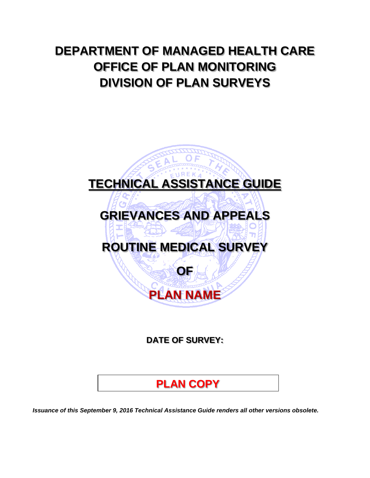## **DEPARTMENT OF MANAGED HEALTH CARE OFFICE OF PLAN MONITORING DIVISION OF PLAN SURVEYS**

# **TECHNICAL ASSISTANCE GUIDE**

## **GRIEVANCES AND APPEALS**

## **ROUTINE MEDICAL SURVEY**

**OF**

**PLAN NAME** 

### **DATE OF SURVEY:**

## **PLAN COPY**

*Issuance of this September 9, 2016 Technical Assistance Guide renders all other versions obsolete.*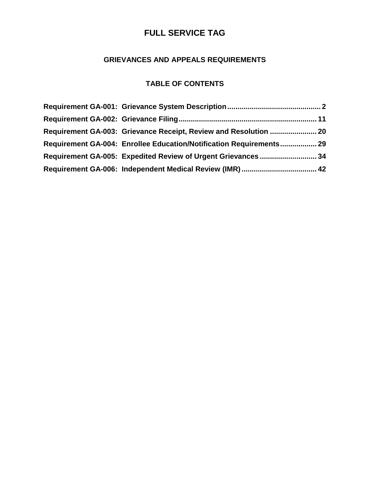### **GRIEVANCES AND APPEALS REQUIREMENTS**

### **TABLE OF CONTENTS**

| Requirement GA-004: Enrollee Education/Notification Requirements 29 |  |
|---------------------------------------------------------------------|--|
| Requirement GA-005: Expedited Review of Urgent Grievances34         |  |
|                                                                     |  |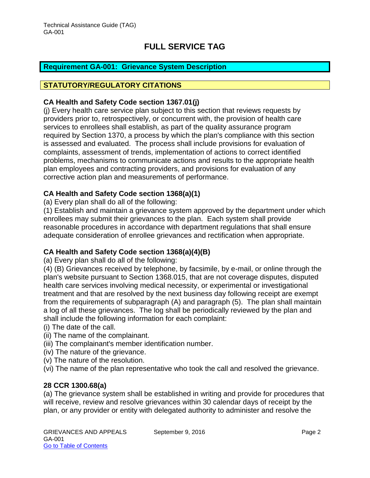### <span id="page-2-0"></span>**Requirement GA-001: Grievance System Description**

#### **STATUTORY/REGULATORY CITATIONS**

#### **CA Health and Safety Code section 1367.01(j)**

(j) Every health care service plan subject to this section that reviews requests by providers prior to, retrospectively, or concurrent with, the provision of health care services to enrollees shall establish, as part of the quality assurance program required by Section 1370, a process by which the plan's compliance with this section is assessed and evaluated. The process shall include provisions for evaluation of complaints, assessment of trends, implementation of actions to correct identified problems, mechanisms to communicate actions and results to the appropriate health plan employees and contracting providers, and provisions for evaluation of any corrective action plan and measurements of performance.

#### **CA Health and Safety Code section 1368(a)(1)**

(a) Every plan shall do all of the following:

(1) Establish and maintain a grievance system approved by the department under which enrollees may submit their grievances to the plan. Each system shall provide reasonable procedures in accordance with department regulations that shall ensure adequate consideration of enrollee grievances and rectification when appropriate.

#### **CA Health and Safety Code section 1368(a)(4)(B)**

(a) Every plan shall do all of the following:

(4) (B) Grievances received by telephone, by facsimile, by e-mail, or online through the plan's website pursuant to Section 1368.015, that are not coverage disputes, disputed health care services involving medical necessity, or experimental or investigational treatment and that are resolved by the next business day following receipt are exempt from the requirements of subparagraph (A) and paragraph (5). The plan shall maintain a log of all these grievances. The log shall be periodically reviewed by the plan and shall include the following information for each complaint:

- (i) The date of the call.
- (ii) The name of the complainant.
- (iii) The complainant's member identification number.
- (iv) The nature of the grievance.
- (v) The nature of the resolution.

(vi) The name of the plan representative who took the call and resolved the grievance.

#### **28 CCR 1300.68(a)**

(a) The grievance system shall be established in writing and provide for procedures that will receive, review and resolve grievances within 30 calendar days of receipt by the plan, or any provider or entity with delegated authority to administer and resolve the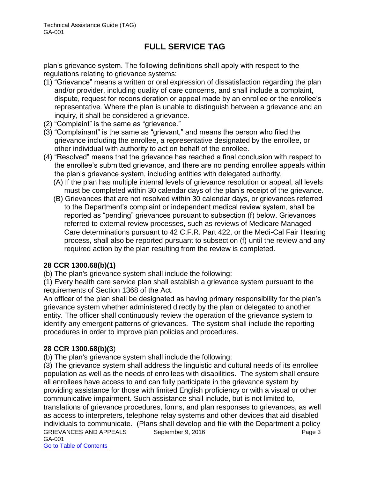plan's grievance system. The following definitions shall apply with respect to the regulations relating to grievance systems:

- (1) "Grievance" means a written or oral expression of dissatisfaction regarding the plan and/or provider, including quality of care concerns, and shall include a complaint, dispute, request for reconsideration or appeal made by an enrollee or the enrollee's representative*.* Where the plan is unable to distinguish between a grievance and an inquiry, it shall be considered a grievance.
- (2) "Complaint" is the same as "grievance."
- (3) "Complainant" is the same as "grievant," and means the person who filed the grievance including the enrollee, a representative designated by the enrollee, or other individual with authority to act on behalf of the enrollee.
- (4) "Resolved" means that the grievance has reached a final conclusion with respect to the enrollee's submitted grievance, and there are no pending enrollee appeals within the plan's grievance system, including entities with delegated authority.
	- (A) If the plan has multiple internal levels of grievance resolution or appeal, all levels must be completed within 30 calendar days of the plan's receipt of the grievance.
	- (B) Grievances that are not resolved within 30 calendar days, or grievances referred to the Department's complaint or independent medical review system, shall be reported as "pending" grievances pursuant to subsection (f) below. Grievances referred to external review processes, such as reviews of Medicare Managed Care determinations pursuant to 42 C.F.R. Part 422, or the Medi-Cal Fair Hearing process, shall also be reported pursuant to subsection (f) until the review and any required action by the plan resulting from the review is completed.

### **28 CCR 1300.68(b)(1)**

(b) The plan's grievance system shall include the following:

(1) Every health care service plan shall establish a grievance system pursuant to the requirements of Section 1368 of the Act.

An officer of the plan shall be designated as having primary responsibility for the plan's grievance system whether administered directly by the plan or delegated to another entity. The officer shall continuously review the operation of the grievance system to identify any emergent patterns of grievances. The system shall include the reporting procedures in order to improve plan policies and procedures.

### **28 CCR 1300.68(b)(3**)

(b) The plan's grievance system shall include the following:

GRIEVANCES AND APPEALS September 9, 2016 CRIEVANCES AND APPEALS GA-001 Go to Table of Contents (3) The grievance system shall address the linguistic and cultural needs of its enrollee population as well as the needs of enrollees with disabilities. The system shall ensure all enrollees have access to and can fully participate in the grievance system by providing assistance for those with limited English proficiency or with a visual or other communicative impairment. Such assistance shall include, but is not limited to, translations of grievance procedures, forms, and plan responses to grievances, as well as access to interpreters, telephone relay systems and other devices that aid disabled individuals to communicate. (Plans shall develop and file with the Department a policy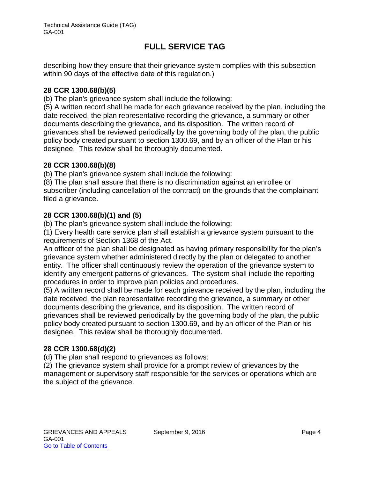describing how they ensure that their grievance system complies with this subsection within 90 days of the effective date of this regulation.)

#### **28 CCR 1300.68(b)(5)**

(b) The plan's grievance system shall include the following:

(5) A written record shall be made for each grievance received by the plan, including the date received, the plan representative recording the grievance, a summary or other documents describing the grievance, and its disposition. The written record of grievances shall be reviewed periodically by the governing body of the plan, the public policy body created pursuant to section 1300.69, and by an officer of the Plan or his designee. This review shall be thoroughly documented.

#### **28 CCR 1300.68(b)(8)**

(b) The plan's grievance system shall include the following:

(8) The plan shall assure that there is no discrimination against an enrollee or subscriber (including cancellation of the contract) on the grounds that the complainant filed a grievance.

#### **28 CCR 1300.68(b)(1) and (5)**

(b) The plan's grievance system shall include the following:

(1) Every health care service plan shall establish a grievance system pursuant to the requirements of Section 1368 of the Act.

An officer of the plan shall be designated as having primary responsibility for the plan's grievance system whether administered directly by the plan or delegated to another entity. The officer shall continuously review the operation of the grievance system to identify any emergent patterns of grievances. The system shall include the reporting procedures in order to improve plan policies and procedures.

(5) A written record shall be made for each grievance received by the plan, including the date received, the plan representative recording the grievance, a summary or other documents describing the grievance, and its disposition. The written record of grievances shall be reviewed periodically by the governing body of the plan, the public policy body created pursuant to section 1300.69, and by an officer of the Plan or his designee. This review shall be thoroughly documented.

#### **28 CCR 1300.68(d)(2)**

(d) The plan shall respond to grievances as follows:

(2) The grievance system shall provide for a prompt review of grievances by the management or supervisory staff responsible for the services or operations which are the subject of the grievance.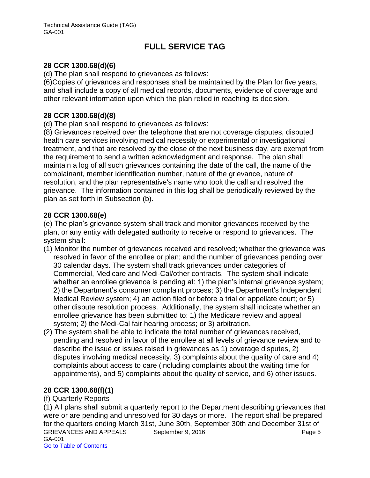### **28 CCR 1300.68(d)(6)**

(d) The plan shall respond to grievances as follows:

(6)Copies of grievances and responses shall be maintained by the Plan for five years, and shall include a copy of all medical records, documents, evidence of coverage and other relevant information upon which the plan relied in reaching its decision.

### **28 CCR 1300.68(d)(8)**

(d) The plan shall respond to grievances as follows:

(8) Grievances received over the telephone that are not coverage disputes, disputed health care services involving medical necessity or experimental or investigational treatment, and that are resolved by the close of the next business day, are exempt from the requirement to send a written acknowledgment and response. The plan shall maintain a log of all such grievances containing the date of the call, the name of the complainant, member identification number, nature of the grievance, nature of resolution, and the plan representative's name who took the call and resolved the grievance. The information contained in this log shall be periodically reviewed by the plan as set forth in Subsection (b).

#### **28 CCR 1300.68(e)**

(e) The plan's grievance system shall track and monitor grievances received by the plan, or any entity with delegated authority to receive or respond to grievances. The system shall:

- (1) Monitor the number of grievances received and resolved; whether the grievance was resolved in favor of the enrollee or plan; and the number of grievances pending over 30 calendar days. The system shall track grievances under categories of Commercial, Medicare and Medi-Cal/other contracts. The system shall indicate whether an enrollee grievance is pending at: 1) the plan's internal grievance system; 2) the Department's consumer complaint process; 3) the Department's Independent Medical Review system; 4) an action filed or before a trial or appellate court; or 5) other dispute resolution process. Additionally, the system shall indicate whether an enrollee grievance has been submitted to: 1) the Medicare review and appeal system; 2) the Medi-Cal fair hearing process; or 3) arbitration.
- (2) The system shall be able to indicate the total number of grievances received, pending and resolved in favor of the enrollee at all levels of grievance review and to describe the issue or issues raised in grievances as 1) coverage disputes, 2) disputes involving medical necessity, 3) complaints about the quality of care and 4) complaints about access to care (including complaints about the waiting time for appointments), and 5) complaints about the quality of service, and 6) other issues.

### **28 CCR 1300.68(f)(1)**

(f) Quarterly Reports

GRIEVANCES AND APPEALS September 9, 2016 CRIEVANCES AND APPEALS GA-001 Go to Table of Contents (1) All plans shall submit a quarterly report to the Department describing grievances that were or are pending and unresolved for 30 days or more. The report shall be prepared for the quarters ending March 31st, June 30th, September 30th and December 31st of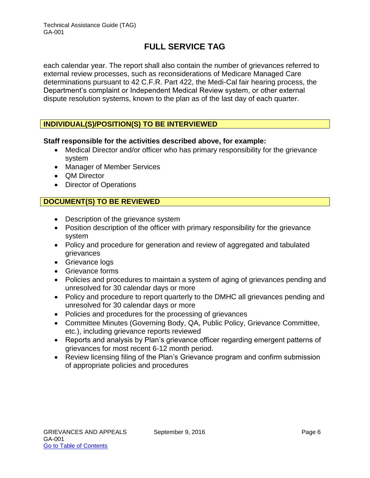each calendar year. The report shall also contain the number of grievances referred to external review processes, such as reconsiderations of Medicare Managed Care determinations pursuant to 42 C.F.R. Part 422, the Medi-Cal fair hearing process, the Department's complaint or Independent Medical Review system, or other external dispute resolution systems, known to the plan as of the last day of each quarter.

### **INDIVIDUAL(S)/POSITION(S) TO BE INTERVIEWED**

### **Staff responsible for the activities described above, for example:**

- Medical Director and/or officer who has primary responsibility for the grievance system
- Manager of Member Services
- QM Director
- Director of Operations

### **DOCUMENT(S) TO BE REVIEWED**

- Description of the grievance system
- Position description of the officer with primary responsibility for the grievance system
- Policy and procedure for generation and review of aggregated and tabulated grievances
- Grievance logs
- Grievance forms
- Policies and procedures to maintain a system of aging of grievances pending and unresolved for 30 calendar days or more
- Policy and procedure to report quarterly to the DMHC all grievances pending and unresolved for 30 calendar days or more
- Policies and procedures for the processing of grievances
- Committee Minutes (Governing Body, QA, Public Policy, Grievance Committee, etc.), including grievance reports reviewed
- Reports and analysis by Plan's grievance officer regarding emergent patterns of grievances for most recent 6-12 month period.
- Review licensing filing of the Plan's Grievance program and confirm submission of appropriate policies and procedures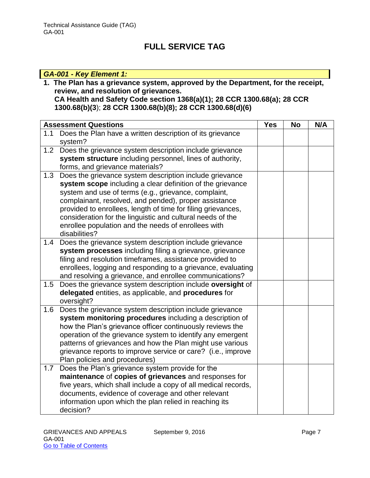### *GA-001 - Key Element 1:*

**1. The Plan has a grievance system, approved by the Department, for the receipt, review, and resolution of grievances. CA Health and Safety Code section 1368(a)(1); 28 CCR 1300.68(a); 28 CCR 1300.68(b)(3**); **28 CCR 1300.68(b)(8); 28 CCR 1300.68(d)(6)** 

|     | <b>Assessment Questions</b>                                                                                                                                                                                                                                                                                                                                                                                                                  | <b>Yes</b> | <b>No</b> | N/A |
|-----|----------------------------------------------------------------------------------------------------------------------------------------------------------------------------------------------------------------------------------------------------------------------------------------------------------------------------------------------------------------------------------------------------------------------------------------------|------------|-----------|-----|
| 1.1 | Does the Plan have a written description of its grievance<br>system?                                                                                                                                                                                                                                                                                                                                                                         |            |           |     |
|     | 1.2 Does the grievance system description include grievance<br>system structure including personnel, lines of authority,<br>forms, and grievance materials?                                                                                                                                                                                                                                                                                  |            |           |     |
| 1.3 | Does the grievance system description include grievance<br>system scope including a clear definition of the grievance<br>system and use of terms (e.g., grievance, complaint,<br>complainant, resolved, and pended), proper assistance<br>provided to enrollees, length of time for filing grievances,<br>consideration for the linguistic and cultural needs of the<br>enrollee population and the needs of enrollees with<br>disabilities? |            |           |     |
| 1.4 | Does the grievance system description include grievance<br>system processes including filing a grievance, grievance<br>filing and resolution timeframes, assistance provided to<br>enrollees, logging and responding to a grievance, evaluating<br>and resolving a grievance, and enrollee communications?                                                                                                                                   |            |           |     |
| 1.5 | Does the grievance system description include oversight of<br>delegated entities, as applicable, and procedures for<br>oversight?                                                                                                                                                                                                                                                                                                            |            |           |     |
| 1.6 | Does the grievance system description include grievance<br>system monitoring procedures including a description of<br>how the Plan's grievance officer continuously reviews the<br>operation of the grievance system to identify any emergent<br>patterns of grievances and how the Plan might use various<br>grievance reports to improve service or care? (i.e., improve<br>Plan policies and procedures)                                  |            |           |     |
| 1.7 | Does the Plan's grievance system provide for the<br>maintenance of copies of grievances and responses for<br>five years, which shall include a copy of all medical records,<br>documents, evidence of coverage and other relevant<br>information upon which the plan relied in reaching its<br>decision?                                                                                                                                     |            |           |     |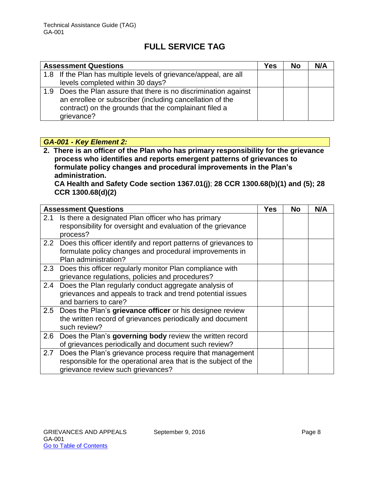| <b>Assessment Questions</b>                                                                                                  | Yes | <b>No</b> | N/A |
|------------------------------------------------------------------------------------------------------------------------------|-----|-----------|-----|
| 1.8 If the Plan has multiple levels of grievance/appeal, are all                                                             |     |           |     |
| levels completed within 30 days?                                                                                             |     |           |     |
| 1.9 Does the Plan assure that there is no discrimination against<br>an enrollee or subscriber (including cancellation of the |     |           |     |
| contract) on the grounds that the complainant filed a                                                                        |     |           |     |
| grievance?                                                                                                                   |     |           |     |

### *GA-001 - Key Element 2:*

**2. There is an officer of the Plan who has primary responsibility for the grievance process who identifies and reports emergent patterns of grievances to formulate policy changes and procedural improvements in the Plan's administration.** 

**CA Health and Safety Code section 1367.01(j)**; **28 CCR 1300.68(b)(1) and (5); 28 CCR 1300.68(d)(2)** 

|     | <b>Assessment Questions</b>                                     | <b>Yes</b> | <b>No</b> | N/A |
|-----|-----------------------------------------------------------------|------------|-----------|-----|
| 2.1 | Is there a designated Plan officer who has primary              |            |           |     |
|     | responsibility for oversight and evaluation of the grievance    |            |           |     |
|     | process?                                                        |            |           |     |
| 2.2 | Does this officer identify and report patterns of grievances to |            |           |     |
|     | formulate policy changes and procedural improvements in         |            |           |     |
|     | Plan administration?                                            |            |           |     |
|     | 2.3 Does this officer regularly monitor Plan compliance with    |            |           |     |
|     | grievance regulations, policies and procedures?                 |            |           |     |
| 2.4 | Does the Plan regularly conduct aggregate analysis of           |            |           |     |
|     | grievances and appeals to track and trend potential issues      |            |           |     |
|     | and barriers to care?                                           |            |           |     |
|     | 2.5 Does the Plan's grievance officer or his designee review    |            |           |     |
|     | the written record of grievances periodically and document      |            |           |     |
|     | such review?                                                    |            |           |     |
| 2.6 | Does the Plan's governing body review the written record        |            |           |     |
|     | of grievances periodically and document such review?            |            |           |     |
| 2.7 | Does the Plan's grievance process require that management       |            |           |     |
|     | responsible for the operational area that is the subject of the |            |           |     |
|     | grievance review such grievances?                               |            |           |     |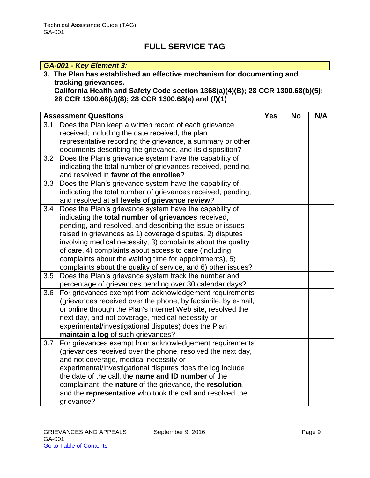### *GA-001 - Key Element 3:*

### **3. The Plan has established an effective mechanism for documenting and tracking grievances.**

**California Health and Safety Code section 1368(a)(4)(B); 28 CCR 1300.68(b)(5); 28 CCR 1300.68(d)(8); 28 CCR 1300.68(e) and (f)(1)** 

|     | <b>Assessment Questions</b>                                   | <b>Yes</b> | <b>No</b> | N/A |
|-----|---------------------------------------------------------------|------------|-----------|-----|
| 3.1 | Does the Plan keep a written record of each grievance         |            |           |     |
|     | received; including the date received, the plan               |            |           |     |
|     | representative recording the grievance, a summary or other    |            |           |     |
|     | documents describing the grievance, and its disposition?      |            |           |     |
| 3.2 | Does the Plan's grievance system have the capability of       |            |           |     |
|     | indicating the total number of grievances received, pending,  |            |           |     |
|     | and resolved in favor of the enrollee?                        |            |           |     |
| 3.3 | Does the Plan's grievance system have the capability of       |            |           |     |
|     | indicating the total number of grievances received, pending,  |            |           |     |
|     | and resolved at all levels of grievance review?               |            |           |     |
| 3.4 | Does the Plan's grievance system have the capability of       |            |           |     |
|     | indicating the total number of grievances received,           |            |           |     |
|     | pending, and resolved, and describing the issue or issues     |            |           |     |
|     | raised in grievances as 1) coverage disputes, 2) disputes     |            |           |     |
|     | involving medical necessity, 3) complaints about the quality  |            |           |     |
|     | of care, 4) complaints about access to care (including        |            |           |     |
|     | complaints about the waiting time for appointments), 5)       |            |           |     |
|     | complaints about the quality of service, and 6) other issues? |            |           |     |
| 3.5 | Does the Plan's grievance system track the number and         |            |           |     |
|     | percentage of grievances pending over 30 calendar days?       |            |           |     |
| 3.6 | For grievances exempt from acknowledgement requirements       |            |           |     |
|     | (grievances received over the phone, by facsimile, by e-mail, |            |           |     |
|     | or online through the Plan's Internet Web site, resolved the  |            |           |     |
|     | next day, and not coverage, medical necessity or              |            |           |     |
|     | experimental/investigational disputes) does the Plan          |            |           |     |
|     | maintain a log of such grievances?                            |            |           |     |
| 3.7 | For grievances exempt from acknowledgement requirements       |            |           |     |
|     | (grievances received over the phone, resolved the next day,   |            |           |     |
|     | and not coverage, medical necessity or                        |            |           |     |
|     | experimental/investigational disputes does the log include    |            |           |     |
|     | the date of the call, the name and ID number of the           |            |           |     |
|     | complainant, the nature of the grievance, the resolution,     |            |           |     |
|     | and the representative who took the call and resolved the     |            |           |     |
|     | grievance?                                                    |            |           |     |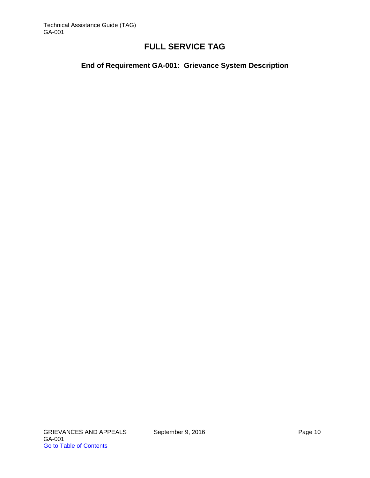**End of Requirement GA-001: Grievance System Description**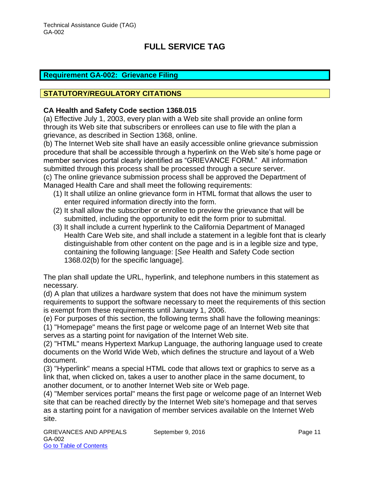#### <span id="page-11-0"></span>**Requirement GA-002: Grievance Filing**

### **STATUTORY/REGULATORY CITATIONS**

#### **CA Health and Safety Code section 1368.015**

(a) Effective July 1, 2003, every plan with a Web site shall provide an online form through its Web site that subscribers or enrollees can use to file with the plan a grievance, as described in Section 1368, online.

(b) The Internet Web site shall have an easily accessible online grievance submission procedure that shall be accessible through a hyperlink on the Web site's home page or member services portal clearly identified as "GRIEVANCE FORM." All information submitted through this process shall be processed through a secure server. (c) The online grievance submission process shall be approved the Department of Managed Health Care and shall meet the following requirements:

- (1) It shall utilize an online grievance form in HTML format that allows the user to enter required information directly into the form.
- (2) It shall allow the subscriber or enrollee to preview the grievance that will be submitted, including the opportunity to edit the form prior to submittal.
- (3) It shall include a current hyperlink to the California Department of Managed Health Care Web site, and shall include a statement in a legible font that is clearly distinguishable from other content on the page and is in a legible size and type, containing the following language: [*See* Health and Safety Code section 1368.02(b) for the specific language].

The plan shall update the URL, hyperlink, and telephone numbers in this statement as necessary.

(d) A plan that utilizes a hardware system that does not have the minimum system requirements to support the software necessary to meet the requirements of this section is exempt from these requirements until January 1, 2006.

(e) For purposes of this section, the following terms shall have the following meanings:

(1) "Homepage" means the first page or welcome page of an Internet Web site that serves as a starting point for navigation of the Internet Web site.

(2) "HTML" means Hypertext Markup Language, the authoring language used to create documents on the World Wide Web, which defines the structure and layout of a Web document.

(3) "Hyperlink" means a special HTML code that allows text or graphics to serve as a link that, when clicked on, takes a user to another place in the same document, to another document, or to another Internet Web site or Web page.

(4) "Member services portal" means the first page or welcome page of an Internet Web site that can be reached directly by the Internet Web site's homepage and that serves as a starting point for a navigation of member services available on the Internet Web site.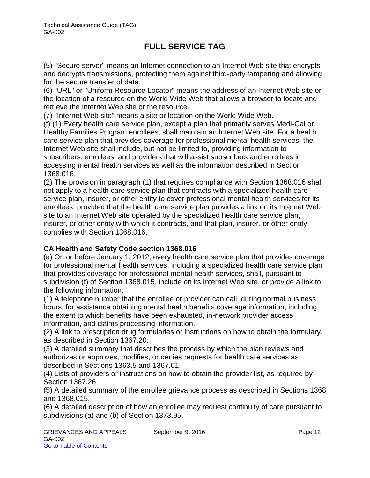(5) "Secure server" means an Internet connection to an Internet Web site that encrypts and decrypts transmissions, protecting them against third-party tampering and allowing for the secure transfer of data.

(6) "URL" or "Uniform Resource Locator" means the address of an Internet Web site or the location of a resource on the World Wide Web that allows a browser to locate and retrieve the Internet Web site or the resource.

(7) "Internet Web site" means a site or location on the World Wide Web.

(f) (1) Every health care service plan, except a plan that primarily serves Medi-Cal or Healthy Families Program enrollees, shall maintain an Internet Web site. For a health care service plan that provides coverage for professional mental health services, the Internet Web site shall include, but not be limited to, providing information to subscribers, enrollees, and providers that will assist subscribers and enrollees in accessing mental health services as well as the information described in Section 1368.016.

(2) The provision in paragraph (1) that requires compliance with Section 1368.016 shall not apply to a health care service plan that contracts with a specialized health care service plan, insurer, or other entity to cover professional mental health services for its enrollees, provided that the health care service plan provides a link on its Internet Web site to an Internet Web site operated by the specialized health care service plan, insurer, or other entity with which it contracts, and that plan, insurer, or other entity complies with Section 1368.016.

#### **CA Health and Safety Code section 1368.016**

(a) On or before January 1, 2012, every health care service plan that provides coverage for professional mental health services, including a specialized health care service plan that provides coverage for professional mental health services, shall, pursuant to subdivision (f) of Section 1368.015, include on its Internet Web site, or provide a link to, the following information:

(1) A telephone number that the enrollee or provider can call, during normal business hours, for assistance obtaining mental health benefits coverage information, including the extent to which benefits have been exhausted, in-network provider access information, and claims processing information.

(2) A link to prescription drug formularies or instructions on how to obtain the formulary, as described in Section 1367.20.

(3) A detailed summary that describes the process by which the plan reviews and authorizes or approves, modifies, or denies requests for health care services as described in Sections 1363.5 and 1367.01.

(4) Lists of providers or instructions on how to obtain the provider list, as required by Section 1367.26.

(5) A detailed summary of the enrollee grievance process as described in Sections 1368 and 1368.015.

(6) A detailed description of how an enrollee may request continuity of care pursuant to subdivisions (a) and (b) of Section 1373.95.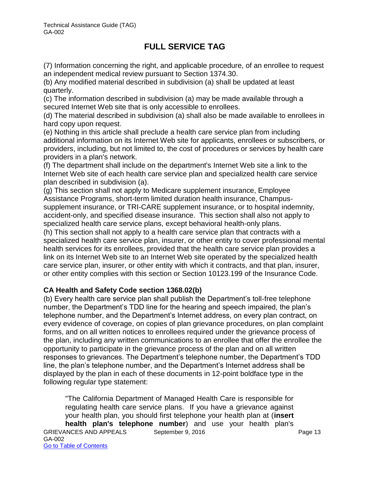(7) Information concerning the right, and applicable procedure, of an enrollee to request an independent medical review pursuant to Section 1374.30.

(b) Any modified material described in subdivision (a) shall be updated at least quarterly.

(c) The information described in subdivision (a) may be made available through a secured Internet Web site that is only accessible to enrollees.

(d) The material described in subdivision (a) shall also be made available to enrollees in hard copy upon request.

(e) Nothing in this article shall preclude a health care service plan from including additional information on its Internet Web site for applicants, enrollees or subscribers, or providers, including, but not limited to, the cost of procedures or services by health care providers in a plan's network.

(f) The department shall include on the department's Internet Web site a link to the Internet Web site of each health care service plan and specialized health care service plan described in subdivision (a).

(g) This section shall not apply to Medicare supplement insurance, Employee Assistance Programs, short-term limited duration health insurance, Champussupplement insurance, or TRI-CARE supplement insurance, or to hospital indemnity, accident-only, and specified disease insurance. This section shall also not apply to specialized health care service plans, except behavioral health-only plans.

(h) This section shall not apply to a health care service plan that contracts with a specialized health care service plan, insurer, or other entity to cover professional mental health services for its enrollees, provided that the health care service plan provides a link on its Internet Web site to an Internet Web site operated by the specialized health care service plan, insurer, or other entity with which it contracts, and that plan, insurer, or other entity complies with this section or Section 10123.199 of the Insurance Code.

### **CA Health and Safety Code section 1368.02(b)**

(b) Every health care service plan shall publish the Department's toll-free telephone number, the Department's TDD line for the hearing and speech impaired, the plan's telephone number, and the Department's Internet address, on every plan contract, on every evidence of coverage, on copies of plan grievance procedures, on plan complaint forms, and on all written notices to enrollees required under the grievance process of the plan, including any written communications to an enrollee that offer the enrollee the opportunity to participate in the grievance process of the plan and on all written responses to grievances. The Department's telephone number, the Department's TDD line, the plan's telephone number, and the Department's Internet address shall be displayed by the plan in each of these documents in 12-point boldface type in the following regular type statement:

GRIEVANCES AND APPEALS September 9, 2016 Page 13 GA-002 Go to Table of Contents "The California Department of Managed Health Care is responsible for regulating health care service plans. If you have a grievance against your health plan, you should first telephone your health plan at (**insert health plan's telephone number**) and use your health plan's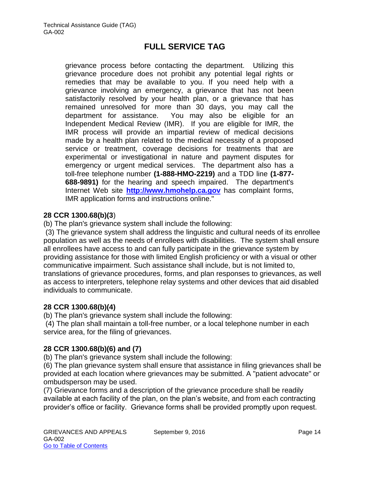grievance process before contacting the department. Utilizing this grievance procedure does not prohibit any potential legal rights or remedies that may be available to you. If you need help with a grievance involving an emergency, a grievance that has not been satisfactorily resolved by your health plan, or a grievance that has remained unresolved for more than 30 days, you may call the department for assistance. You may also be eligible for an Independent Medical Review (IMR). If you are eligible for IMR, the IMR process will provide an impartial review of medical decisions made by a health plan related to the medical necessity of a proposed service or treatment, coverage decisions for treatments that are experimental or investigational in nature and payment disputes for emergency or urgent medical services. The department also has a toll-free telephone number **(1-888-HMO-2219)** and a TDD line **(1-877- 688-9891)** for the hearing and speech impaired. The department's Internet Web site **[http://www.hmohelp.ca.gov](http://www.hmohelp.ca.gov/)** has complaint forms, IMR application forms and instructions online."

#### **28 CCR 1300.68(b)(3**)

(b) The plan's grievance system shall include the following:

 (3) The grievance system shall address the linguistic and cultural needs of its enrollee population as well as the needs of enrollees with disabilities. The system shall ensure all enrollees have access to and can fully participate in the grievance system by providing assistance for those with limited English proficiency or with a visual or other communicative impairment. Such assistance shall include, but is not limited to, translations of grievance procedures, forms, and plan responses to grievances, as well as access to interpreters, telephone relay systems and other devices that aid disabled individuals to communicate.

#### **28 CCR 1300.68(b)(4)**

(b) The plan's grievance system shall include the following:

 (4) The plan shall maintain a toll-free number, or a local telephone number in each service area, for the filing of grievances.

#### **28 CCR 1300.68(b)(6) and (7)**

(b) The plan's grievance system shall include the following:

(6) The plan grievance system shall ensure that assistance in filing grievances shall be provided at each location where grievances may be submitted. A "patient advocate" or ombudsperson may be used.

(7) Grievance forms and a description of the grievance procedure shall be readily available at each facility of the plan, on the plan's website, and from each contracting provider's office or facility. Grievance forms shall be provided promptly upon request.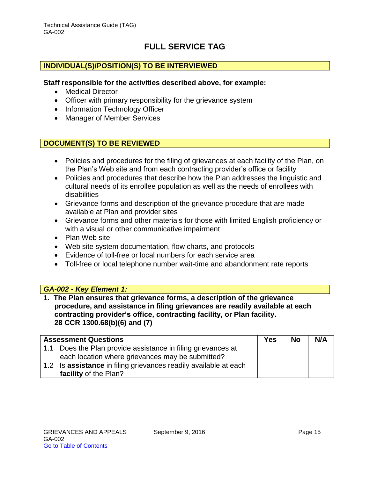#### **INDIVIDUAL(S)/POSITION(S) TO BE INTERVIEWED**

#### **Staff responsible for the activities described above, for example:**

- Medical Director
- Officer with primary responsibility for the grievance system
- Information Technology Officer
- Manager of Member Services

#### **DOCUMENT(S) TO BE REVIEWED**

- Policies and procedures for the filing of grievances at each facility of the Plan, on the Plan's Web site and from each contracting provider's office or facility
- Policies and procedures that describe how the Plan addresses the linguistic and cultural needs of its enrollee population as well as the needs of enrollees with disabilities
- Grievance forms and description of the grievance procedure that are made available at Plan and provider sites
- Grievance forms and other materials for those with limited English proficiency or with a visual or other communicative impairment
- Plan Web site
- Web site system documentation, flow charts, and protocols
- Evidence of toll-free or local numbers for each service area
- Toll-free or local telephone number wait-time and abandonment rate reports

#### *GA-002 - Key Element 1:*

**1. The Plan ensures that grievance forms, a description of the grievance procedure, and assistance in filing grievances are readily available at each contracting provider's office, contracting facility, or Plan facility. 28 CCR 1300.68(b)(6) and (7)**

|     | <b>Assessment Questions</b>                                  | <b>Yes</b> | <b>No</b> | N/A |
|-----|--------------------------------------------------------------|------------|-----------|-----|
|     | 1.1 Does the Plan provide assistance in filing grievances at |            |           |     |
|     | each location where grievances may be submitted?             |            |           |     |
| 1.2 | Is assistance in filing grievances readily available at each |            |           |     |
|     | facility of the Plan?                                        |            |           |     |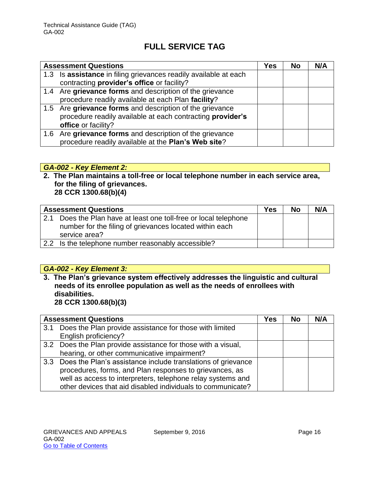| <b>Assessment Questions</b>                                      | Yes | <b>No</b> | N/A |
|------------------------------------------------------------------|-----|-----------|-----|
| 1.3 Is assistance in filing grievances readily available at each |     |           |     |
| contracting provider's office or facility?                       |     |           |     |
| 1.4 Are grievance forms and description of the grievance         |     |           |     |
| procedure readily available at each Plan facility?               |     |           |     |
| 1.5 Are grievance forms and description of the grievance         |     |           |     |
| procedure readily available at each contracting provider's       |     |           |     |
| office or facility?                                              |     |           |     |
| 1.6 Are grievance forms and description of the grievance         |     |           |     |
| procedure readily available at the Plan's Web site?              |     |           |     |

### *GA-002 - Key Element 2:*

**2. The Plan maintains a toll-free or local telephone number in each service area, for the filing of grievances. 28 CCR 1300.68(b)(4)**

| <b>Assessment Questions</b>                                                                                                              | Yes | No | N/A |
|------------------------------------------------------------------------------------------------------------------------------------------|-----|----|-----|
| Does the Plan have at least one toll-free or local telephone<br>number for the filing of grievances located within each<br>service area? |     |    |     |
| 2.2 Is the telephone number reasonably accessible?                                                                                       |     |    |     |

### *GA-002 - Key Element 3:*

**3. The Plan's grievance system effectively addresses the linguistic and cultural needs of its enrollee population as well as the needs of enrollees with disabilities.** 

**28 CCR 1300.68(b)(3)**

| <b>Assessment Questions</b>                                      | Yes | <b>No</b> | N/A |
|------------------------------------------------------------------|-----|-----------|-----|
| 3.1 Does the Plan provide assistance for those with limited      |     |           |     |
| English proficiency?                                             |     |           |     |
| 3.2 Does the Plan provide assistance for those with a visual,    |     |           |     |
| hearing, or other communicative impairment?                      |     |           |     |
| 3.3 Does the Plan's assistance include translations of grievance |     |           |     |
| procedures, forms, and Plan responses to grievances, as          |     |           |     |
| well as access to interpreters, telephone relay systems and      |     |           |     |
| other devices that aid disabled individuals to communicate?      |     |           |     |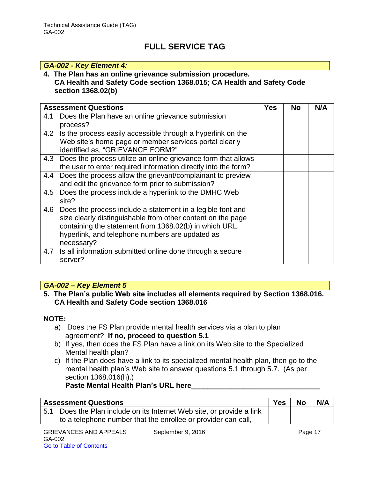#### *GA-002 - Key Element 4:*

#### **4. The Plan has an online grievance submission procedure. CA Health and Safety Code section 1368.015; CA Health and Safety Code section 1368.02(b)**

|     | <b>Assessment Questions</b>                                                                                                                                                                                                                          | Yes | <b>No</b> | N/A |
|-----|------------------------------------------------------------------------------------------------------------------------------------------------------------------------------------------------------------------------------------------------------|-----|-----------|-----|
| 4.1 | Does the Plan have an online grievance submission<br>process?                                                                                                                                                                                        |     |           |     |
| 4.2 | Is the process easily accessible through a hyperlink on the<br>Web site's home page or member services portal clearly<br>identified as, "GRIEVANCE FORM?"                                                                                            |     |           |     |
| 4.3 | Does the process utilize an online grievance form that allows<br>the user to enter required information directly into the form?                                                                                                                      |     |           |     |
| 4.4 | Does the process allow the grievant/complainant to preview<br>and edit the grievance form prior to submission?                                                                                                                                       |     |           |     |
| 4.5 | Does the process include a hyperlink to the DMHC Web<br>site?                                                                                                                                                                                        |     |           |     |
| 4.6 | Does the process include a statement in a legible font and<br>size clearly distinguishable from other content on the page<br>containing the statement from 1368.02(b) in which URL,<br>hyperlink, and telephone numbers are updated as<br>necessary? |     |           |     |
| 4.7 | Is all information submitted online done through a secure<br>server?                                                                                                                                                                                 |     |           |     |

### *GA-002 – Key Element 5*

#### **5. The Plan's public Web site includes all elements required by Section 1368.016. CA Health and Safety Code section 1368.016**

#### **NOTE:**

- a) Does the FS Plan provide mental health services via a plan to plan agreement? **If no, proceed to question 5.1**
- b) If yes, then does the FS Plan have a link on its Web site to the Specialized Mental health plan?
- c) If the Plan does have a link to its specialized mental health plan, then go to the mental health plan's Web site to answer questions 5.1 through 5.7. (As per section 1368.016(h).)

Paste Mental Health Plan's URL here

| <b>Assessment Questions</b>                                           | <b>Yes</b> | <b>No</b> | N/A |
|-----------------------------------------------------------------------|------------|-----------|-----|
| 5.1 Does the Plan include on its Internet Web site, or provide a link |            |           |     |
| to a telephone number that the enrollee or provider can call,         |            |           |     |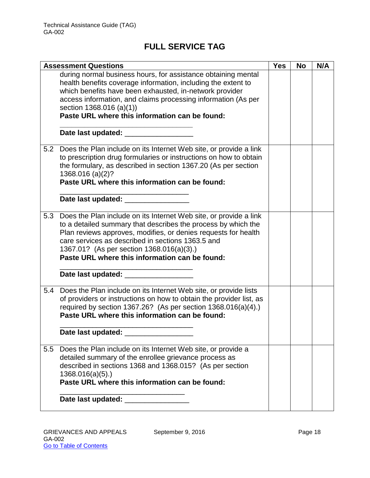|     | <b>Assessment Questions</b>                                                                                                                                                                                                                                                                                                                              | <b>Yes</b> | <b>No</b> | N/A |
|-----|----------------------------------------------------------------------------------------------------------------------------------------------------------------------------------------------------------------------------------------------------------------------------------------------------------------------------------------------------------|------------|-----------|-----|
|     | during normal business hours, for assistance obtaining mental<br>health benefits coverage information, including the extent to<br>which benefits have been exhausted, in-network provider<br>access information, and claims processing information (As per<br>section 1368.016 (a)(1))<br>Paste URL where this information can be found:                 |            |           |     |
|     |                                                                                                                                                                                                                                                                                                                                                          |            |           |     |
| 5.2 | Does the Plan include on its Internet Web site, or provide a link<br>to prescription drug formularies or instructions on how to obtain<br>the formulary, as described in section 1367.20 (As per section<br>1368.016 (a)(2)?<br>Paste URL where this information can be found:                                                                           |            |           |     |
|     | Date last updated: Date last updated:                                                                                                                                                                                                                                                                                                                    |            |           |     |
| 5.3 | Does the Plan include on its Internet Web site, or provide a link<br>to a detailed summary that describes the process by which the<br>Plan reviews approves, modifies, or denies requests for health<br>care services as described in sections 1363.5 and<br>1367.01? (As per section 1368.016(a)(3).)<br>Paste URL where this information can be found: |            |           |     |
|     | Date last updated: ___________________                                                                                                                                                                                                                                                                                                                   |            |           |     |
| 5.4 | Does the Plan include on its Internet Web site, or provide lists<br>of providers or instructions on how to obtain the provider list, as<br>required by section 1367.26? (As per section 1368.016(a)(4).)<br>Paste URL where this information can be found:                                                                                               |            |           |     |
|     | Date last updated: _______                                                                                                                                                                                                                                                                                                                               |            |           |     |
| 5.5 | Does the Plan include on its Internet Web site, or provide a<br>detailed summary of the enrollee grievance process as<br>described in sections 1368 and 1368.015? (As per section<br>1368.016(a)(5).<br>Paste URL where this information can be found:                                                                                                   |            |           |     |
|     |                                                                                                                                                                                                                                                                                                                                                          |            |           |     |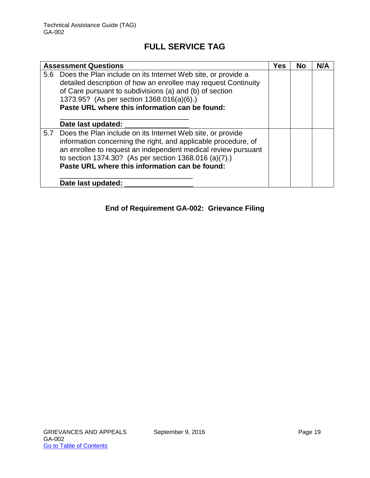| <b>Assessment Questions</b>                                                                                                                                                                                                                                                                                  | <b>Yes</b> | <b>No</b> | N/A |
|--------------------------------------------------------------------------------------------------------------------------------------------------------------------------------------------------------------------------------------------------------------------------------------------------------------|------------|-----------|-----|
| 5.6 Does the Plan include on its Internet Web site, or provide a<br>detailed description of how an enrollee may request Continuity<br>of Care pursuant to subdivisions (a) and (b) of section<br>1373.95? (As per section 1368.016(a)(6).)<br>Paste URL where this information can be found:                 |            |           |     |
| Date last updated:                                                                                                                                                                                                                                                                                           |            |           |     |
| 5.7 Does the Plan include on its Internet Web site, or provide<br>information concerning the right, and applicable procedure, of<br>an enrollee to request an independent medical review pursuant<br>to section 1374.30? (As per section 1368.016 (a)(7).)<br>Paste URL where this information can be found: |            |           |     |
| Date last updated:                                                                                                                                                                                                                                                                                           |            |           |     |

### **End of Requirement GA-002: Grievance Filing**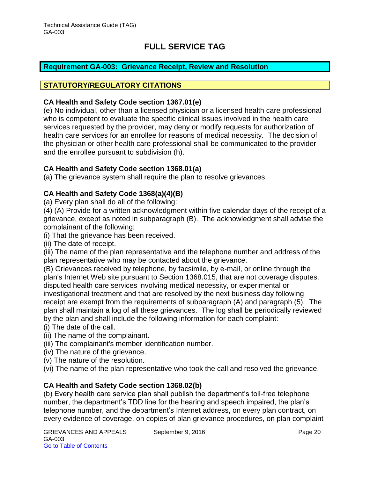### <span id="page-20-0"></span>**Requirement GA-003: Grievance Receipt, Review and Resolution**

#### **STATUTORY/REGULATORY CITATIONS**

#### **CA Health and Safety Code section 1367.01(e)**

(e) No individual, other than a licensed physician or a licensed health care professional who is competent to evaluate the specific clinical issues involved in the health care services requested by the provider, may deny or modify requests for authorization of health care services for an enrollee for reasons of medical necessity. The decision of the physician or other health care professional shall be communicated to the provider and the enrollee pursuant to subdivision (h).

#### **CA Health and Safety Code section 1368.01(a)**

(a) The grievance system shall require the plan to resolve grievances

#### **CA Health and Safety Code 1368(a)(4)(B)**

(a) Every plan shall do all of the following:

(4) (A) Provide for a written acknowledgment within five calendar days of the receipt of a grievance, except as noted in subparagraph (B). The acknowledgment shall advise the complainant of the following:

(i) That the grievance has been received.

(ii) The date of receipt.

(iii) The name of the plan representative and the telephone number and address of the plan representative who may be contacted about the grievance.

(B) Grievances received by telephone, by facsimile, by e-mail, or online through the plan's Internet Web site pursuant to Section 1368.015, that are not coverage disputes, disputed health care services involving medical necessity, or experimental or investigational treatment and that are resolved by the next business day following receipt are exempt from the requirements of subparagraph (A) and paragraph (5). The plan shall maintain a log of all these grievances. The log shall be periodically reviewed by the plan and shall include the following information for each complaint:

- (i) The date of the call.
- (ii) The name of the complainant.
- (iii) The complainant's member identification number.
- (iv) The nature of the grievance.
- (v) The nature of the resolution.

(vi) The name of the plan representative who took the call and resolved the grievance.

#### **CA Health and Safety Code section 1368.02(b)**

(b) Every health care service plan shall publish the department's toll-free telephone number, the department's TDD line for the hearing and speech impaired, the plan's telephone number, and the department's Internet address, on every plan contract, on every evidence of coverage, on copies of plan grievance procedures, on plan complaint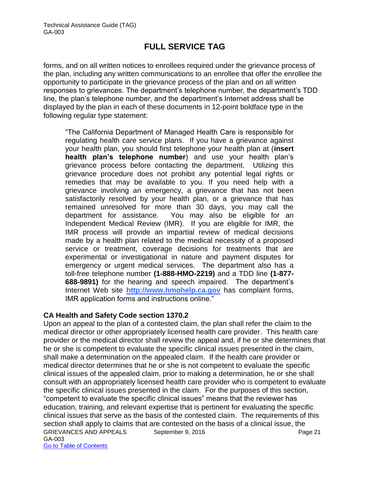forms, and on all written notices to enrollees required under the grievance process of the plan, including any written communications to an enrollee that offer the enrollee the opportunity to participate in the grievance process of the plan and on all written responses to grievances. The department's telephone number, the department's TDD line, the plan's telephone number, and the department's Internet address shall be displayed by the plan in each of these documents in 12-point boldface type in the following regular type statement:

"The California Department of Managed Health Care is responsible for regulating health care service plans. If you have a grievance against your health plan, you should first telephone your health plan at (**insert health plan's telephone number**) and use your health plan's grievance process before contacting the department. Utilizing this grievance procedure does not prohibit any potential legal rights or remedies that may be available to you. If you need help with a grievance involving an emergency, a grievance that has not been satisfactorily resolved by your health plan, or a grievance that has remained unresolved for more than 30 days, you may call the department for assistance. You may also be eligible for an Independent Medical Review (IMR). If you are eligible for IMR, the IMR process will provide an impartial review of medical decisions made by a health plan related to the medical necessity of a proposed service or treatment, coverage decisions for treatments that are experimental or investigational in nature and payment disputes for emergency or urgent medical services. The department also has a toll-free telephone number **(1-888-HMO-2219)** and a TDD line **(1-877- 688-9891)** for the hearing and speech impaired. The department's Internet Web site **[http://www.hmohelp.ca.gov](http://www.hmohelp.ca.gov/)** has complaint forms, IMR application forms and instructions online."

#### **CA Health and Safety Code section 1370.2**

GRIEVANCES AND APPEALS September 9, 2016 Page 21 GA-003 Go to Table of Contents Upon an appeal to the plan of a contested claim, the plan shall refer the claim to the medical director or other appropriately licensed health care provider. This health care provider or the medical director shall review the appeal and, if he or she determines that he or she is competent to evaluate the specific clinical issues presented in the claim, shall make a determination on the appealed claim. If the health care provider or medical director determines that he or she is not competent to evaluate the specific clinical issues of the appealed claim, prior to making a determination, he or she shall consult with an appropriately licensed health care provider who is competent to evaluate the specific clinical issues presented in the claim. For the purposes of this section, "competent to evaluate the specific clinical issues" means that the reviewer has education, training, and relevant expertise that is pertinent for evaluating the specific clinical issues that serve as the basis of the contested claim. The requirements of this section shall apply to claims that are contested on the basis of a clinical issue, the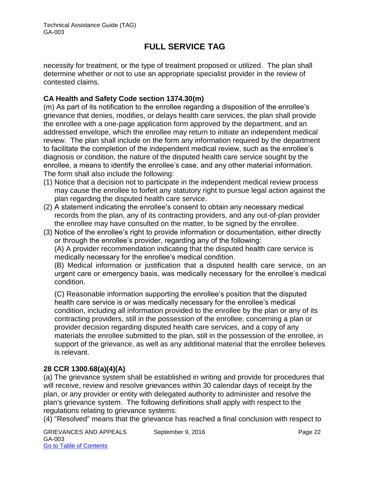necessity for treatment, or the type of treatment proposed or utilized. The plan shall determine whether or not to use an appropriate specialist provider in the review of contested claims.

### **CA Health and Safety Code section 1374.30(m)**

(m) As part of its notification to the enrollee regarding a disposition of the enrollee's grievance that denies, modifies, or delays health care services, the plan shall provide the enrollee with a one-page application form approved by the department, and an addressed envelope, which the enrollee may return to initiate an independent medical review. The plan shall include on the form any information required by the department to facilitate the completion of the independent medical review, such as the enrollee's diagnosis or condition, the nature of the disputed health care service sought by the enrollee, a means to identify the enrollee's case, and any other material information. The form shall also include the following:

- (1) Notice that a decision not to participate in the independent medical review process may cause the enrollee to forfeit any statutory right to pursue legal action against the plan regarding the disputed health care service.
- (2) A statement indicating the enrollee's consent to obtain any necessary medical records from the plan, any of its contracting providers, and any out-of-plan provider the enrollee may have consulted on the matter, to be signed by the enrollee.
- (3) Notice of the enrollee's right to provide information or documentation, either directly or through the enrollee's provider, regarding any of the following:

(A) A provider recommendation indicating that the disputed health care service is medically necessary for the enrollee's medical condition.

(B) Medical information or justification that a disputed health care service, on an urgent care or emergency basis, was medically necessary for the enrollee's medical condition.

(C) Reasonable information supporting the enrollee's position that the disputed health care service is or was medically necessary for the enrollee's medical condition, including all information provided to the enrollee by the plan or any of its contracting providers, still in the possession of the enrollee, concerning a plan or provider decision regarding disputed health care services, and a copy of any materials the enrollee submitted to the plan, still in the possession of the enrollee, in support of the grievance, as well as any additional material that the enrollee believes is relevant.

### **28 CCR 1300.68(a)(4)(A)**

(a) The grievance system shall be established in writing and provide for procedures that will receive, review and resolve grievances within 30 calendar days of receipt by the plan, or any provider or entity with delegated authority to administer and resolve the plan's grievance system. The following definitions shall apply with respect to the regulations relating to grievance systems:

(4) "Resolved" means that the grievance has reached a final conclusion with respect to

GRIEVANCES AND APPEALS September 9, 2016 CRIEVANCES AND APPEALS GA-003 Go to Table of Contents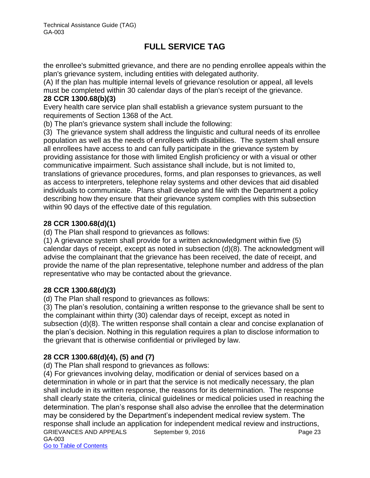the enrollee's submitted grievance, and there are no pending enrollee appeals within the plan's grievance system, including entities with delegated authority.

(A) If the plan has multiple internal levels of grievance resolution or appeal, all levels must be completed within 30 calendar days of the plan's receipt of the grievance. **28 CCR 1300.68(b)(3)** 

Every health care service plan shall establish a grievance system pursuant to the requirements of Section 1368 of the Act.

(b) The plan's grievance system shall include the following:

(3) The grievance system shall address the linguistic and cultural needs of its enrollee population as well as the needs of enrollees with disabilities. The system shall ensure all enrollees have access to and can fully participate in the grievance system by providing assistance for those with limited English proficiency or with a visual or other communicative impairment. Such assistance shall include, but is not limited to, translations of grievance procedures, forms, and plan responses to grievances, as well as access to interpreters, telephone relay systems and other devices that aid disabled individuals to communicate. Plans shall develop and file with the Department a policy describing how they ensure that their grievance system complies with this subsection within 90 days of the effective date of this regulation.

### **28 CCR 1300.68(d)(1)**

(d) The Plan shall respond to grievances as follows:

(1) A grievance system shall provide for a written acknowledgment within five (5) calendar days of receipt, except as noted in subsection (d)(8). The acknowledgment will advise the complainant that the grievance has been received, the date of receipt, and provide the name of the plan representative, telephone number and address of the plan representative who may be contacted about the grievance.

### **28 CCR 1300.68(d)(3)**

(d) The Plan shall respond to grievances as follows:

(3) The plan's resolution, containing a written response to the grievance shall be sent to the complainant within thirty (30) calendar days of receipt, except as noted in subsection (d)(8). The written response shall contain a clear and concise explanation of the plan's decision. Nothing in this regulation requires a plan to disclose information to the grievant that is otherwise confidential or privileged by law.

### **28 CCR 1300.68(d)(4), (5) and (7)**

(d) The Plan shall respond to grievances as follows:

GRIEVANCES AND APPEALS September 9, 2016 Page 23 GA-003 Go to Table of Contents (4) For grievances involving delay, modification or denial of services based on a determination in whole or in part that the service is not medically necessary, the plan shall include in its written response, the reasons for its determination. The response shall clearly state the criteria, clinical guidelines or medical policies used in reaching the determination. The plan's response shall also advise the enrollee that the determination may be considered by the Department's independent medical review system. The response shall include an application for independent medical review and instructions,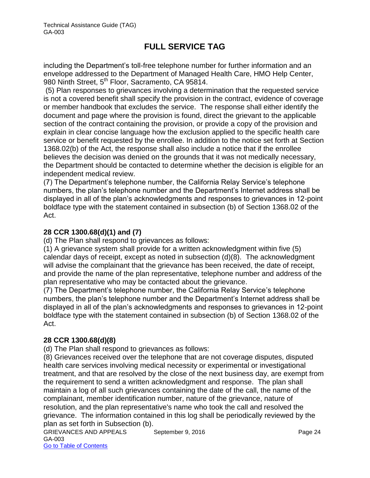including the Department's toll-free telephone number for further information and an envelope addressed to the Department of Managed Health Care, HMO Help Center, 980 Ninth Street, 5<sup>th</sup> Floor, Sacramento, CA 95814.

 (5) Plan responses to grievances involving a determination that the requested service is not a covered benefit shall specify the provision in the contract, evidence of coverage or member handbook that excludes the service. The response shall either identify the document and page where the provision is found, direct the grievant to the applicable section of the contract containing the provision, or provide a copy of the provision and explain in clear concise language how the exclusion applied to the specific health care service or benefit requested by the enrollee. In addition to the notice set forth at Section 1368.02(b) of the Act, the response shall also include a notice that if the enrollee believes the decision was denied on the grounds that it was not medically necessary, the Department should be contacted to determine whether the decision is eligible for an independent medical review.

(7) The Department's telephone number, the California Relay Service's telephone numbers, the plan's telephone number and the Department's Internet address shall be displayed in all of the plan's acknowledgments and responses to grievances in 12-point boldface type with the statement contained in subsection (b) of Section 1368.02 of the Act.

### **28 CCR 1300.68(d)(1) and (7)**

(d) The Plan shall respond to grievances as follows:

(1) A grievance system shall provide for a written acknowledgment within five (5) calendar days of receipt, except as noted in subsection (d)(8). The acknowledgment will advise the complainant that the grievance has been received, the date of receipt, and provide the name of the plan representative, telephone number and address of the plan representative who may be contacted about the grievance.

(7) The Department's telephone number, the California Relay Service's telephone numbers, the plan's telephone number and the Department's Internet address shall be displayed in all of the plan's acknowledgments and responses to grievances in 12-point boldface type with the statement contained in subsection (b) of Section 1368.02 of the Act.

### **28 CCR 1300.68(d)(8)**

(d) The Plan shall respond to grievances as follows:

(8) Grievances received over the telephone that are not coverage disputes, disputed health care services involving medical necessity or experimental or investigational treatment, and that are resolved by the close of the next business day, are exempt from the requirement to send a written acknowledgment and response. The plan shall maintain a log of all such grievances containing the date of the call, the name of the complainant, member identification number, nature of the grievance, nature of resolution, and the plan representative's name who took the call and resolved the grievance. The information contained in this log shall be periodically reviewed by the plan as set forth in Subsection (b).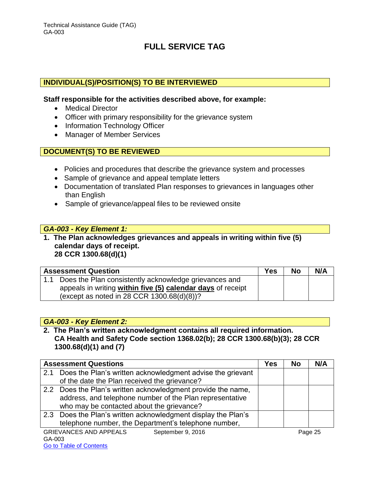### **INDIVIDUAL(S)/POSITION(S) TO BE INTERVIEWED**

#### **Staff responsible for the activities described above, for example:**

- Medical Director
- Officer with primary responsibility for the grievance system
- Information Technology Officer
- Manager of Member Services

### **DOCUMENT(S) TO BE REVIEWED**

- Policies and procedures that describe the grievance system and processes
- Sample of grievance and appeal template letters
- Documentation of translated Plan responses to grievances in languages other than English
- Sample of grievance/appeal files to be reviewed onsite

#### *GA-003 - Key Element 1:*

**1. The Plan acknowledges grievances and appeals in writing within five (5) calendar days of receipt. 28 CCR 1300.68(d)(1)**

| <b>Assessment Question</b>                                  | <b>Yes</b> | <b>No</b> | N/A |
|-------------------------------------------------------------|------------|-----------|-----|
| 1.1 Does the Plan consistently acknowledge grievances and   |            |           |     |
| appeals in writing within five (5) calendar days of receipt |            |           |     |
| (except as noted in 28 CCR $1300.68(d)(8)$ )?               |            |           |     |

#### *GA-003 - Key Element 2:*

**2. The Plan's written acknowledgment contains all required information. CA Health and Safety Code section 1368.02(b); 28 CCR 1300.68(b)(3); 28 CCR 1300.68(d)(1) and (7)**

|        | <b>Assessment Questions</b>                                    | Yes | <b>No</b> | N/A     |
|--------|----------------------------------------------------------------|-----|-----------|---------|
|        | 2.1 Does the Plan's written acknowledgment advise the grievant |     |           |         |
|        | of the date the Plan received the grievance?                   |     |           |         |
|        | 2.2 Does the Plan's written acknowledgment provide the name,   |     |           |         |
|        | address, and telephone number of the Plan representative       |     |           |         |
|        | who may be contacted about the grievance?                      |     |           |         |
|        | 2.3 Does the Plan's written acknowledgment display the Plan's  |     |           |         |
|        | telephone number, the Department's telephone number,           |     |           |         |
|        | <b>GRIEVANCES AND APPEALS</b><br>September 9, 2016             |     |           | Page 25 |
| GA-003 |                                                                |     |           |         |

#### Go to Table of Contents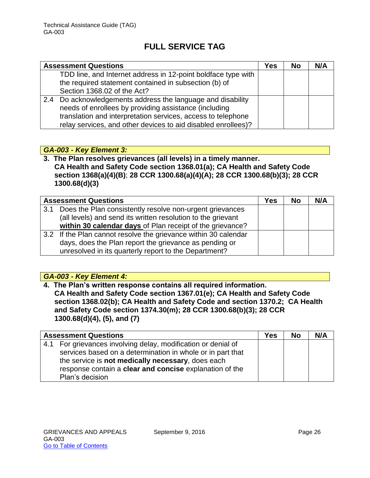| <b>Assessment Questions</b>                                                                                                                                                                                                                           | Yes | <b>No</b> | N/A |
|-------------------------------------------------------------------------------------------------------------------------------------------------------------------------------------------------------------------------------------------------------|-----|-----------|-----|
| TDD line, and Internet address in 12-point boldface type with<br>the required statement contained in subsection (b) of<br>Section 1368.02 of the Act?                                                                                                 |     |           |     |
| 2.4 Do acknowledgements address the language and disability<br>needs of enrollees by providing assistance (including<br>translation and interpretation services, access to telephone<br>relay services, and other devices to aid disabled enrollees)? |     |           |     |

### *GA-003 - Key Element 3:*

**3. The Plan resolves grievances (all levels) in a timely manner. CA Health and Safety Code section 1368.01(a); CA Health and Safety Code section 1368(a)(4)(B)**; **28 CCR 1300.68(a)(4)(A); 28 CCR 1300.68(b)(3); 28 CCR 1300.68(d)(3)** 

|     | <b>Assessment Questions</b>                                     | <b>Yes</b> | <b>No</b> | N/A |
|-----|-----------------------------------------------------------------|------------|-----------|-----|
| 3.1 | Does the Plan consistently resolve non-urgent grievances        |            |           |     |
|     | (all levels) and send its written resolution to the grievant    |            |           |     |
|     | within 30 calendar days of Plan receipt of the grievance?       |            |           |     |
|     | 3.2 If the Plan cannot resolve the grievance within 30 calendar |            |           |     |
|     | days, does the Plan report the grievance as pending or          |            |           |     |
|     | unresolved in its quarterly report to the Department?           |            |           |     |

### *GA-003 - Key Element 4:*

**4. The Plan's written response contains all required information. CA Health and Safety Code section 1367.01(e); CA Health and Safety Code section 1368.02(b); CA Health and Safety Code and section 1370.2; CA Health and Safety Code section 1374.30(m); 28 CCR 1300.68(b)(3); 28 CCR 1300.68(d)(4), (5), and (7)** 

|     | <b>Assessment Questions</b>                                | <b>Yes</b> | <b>No</b> | N/A |
|-----|------------------------------------------------------------|------------|-----------|-----|
| 4.1 | For grievances involving delay, modification or denial of  |            |           |     |
|     | services based on a determination in whole or in part that |            |           |     |
|     | the service is not medically necessary, does each          |            |           |     |
|     | response contain a clear and concise explanation of the    |            |           |     |
|     | Plan's decision                                            |            |           |     |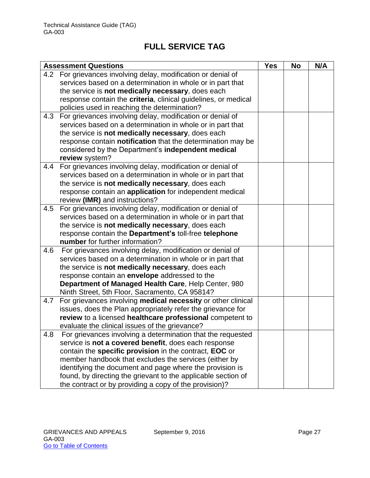|     | <b>Assessment Questions</b>                                    | <b>Yes</b> | <b>No</b> | N/A |
|-----|----------------------------------------------------------------|------------|-----------|-----|
| 4.2 | For grievances involving delay, modification or denial of      |            |           |     |
|     | services based on a determination in whole or in part that     |            |           |     |
|     | the service is not medically necessary, does each              |            |           |     |
|     | response contain the criteria, clinical guidelines, or medical |            |           |     |
|     | policies used in reaching the determination?                   |            |           |     |
| 4.3 | For grievances involving delay, modification or denial of      |            |           |     |
|     | services based on a determination in whole or in part that     |            |           |     |
|     | the service is not medically necessary, does each              |            |           |     |
|     | response contain notification that the determination may be    |            |           |     |
|     | considered by the Department's independent medical             |            |           |     |
|     | review system?                                                 |            |           |     |
| 4.4 | For grievances involving delay, modification or denial of      |            |           |     |
|     | services based on a determination in whole or in part that     |            |           |     |
|     | the service is not medically necessary, does each              |            |           |     |
|     | response contain an application for independent medical        |            |           |     |
|     | review (IMR) and instructions?                                 |            |           |     |
| 4.5 | For grievances involving delay, modification or denial of      |            |           |     |
|     | services based on a determination in whole or in part that     |            |           |     |
|     | the service is not medically necessary, does each              |            |           |     |
|     | response contain the Department's toll-free telephone          |            |           |     |
|     | number for further information?                                |            |           |     |
| 4.6 | For grievances involving delay, modification or denial of      |            |           |     |
|     | services based on a determination in whole or in part that     |            |           |     |
|     | the service is not medically necessary, does each              |            |           |     |
|     | response contain an envelope addressed to the                  |            |           |     |
|     | Department of Managed Health Care, Help Center, 980            |            |           |     |
|     | Ninth Street, 5th Floor, Sacramento, CA 95814?                 |            |           |     |
| 4.7 | For grievances involving medical necessity or other clinical   |            |           |     |
|     | issues, does the Plan appropriately refer the grievance for    |            |           |     |
|     | review to a licensed healthcare professional competent to      |            |           |     |
|     | evaluate the clinical issues of the grievance?                 |            |           |     |
| 4.8 | For grievances involving a determination that the requested    |            |           |     |
|     | service is not a covered benefit, does each response           |            |           |     |
|     | contain the specific provision in the contract, EOC or         |            |           |     |
|     | member handbook that excludes the services (either by          |            |           |     |
|     | identifying the document and page where the provision is       |            |           |     |
|     | found, by directing the grievant to the applicable section of  |            |           |     |
|     | the contract or by providing a copy of the provision)?         |            |           |     |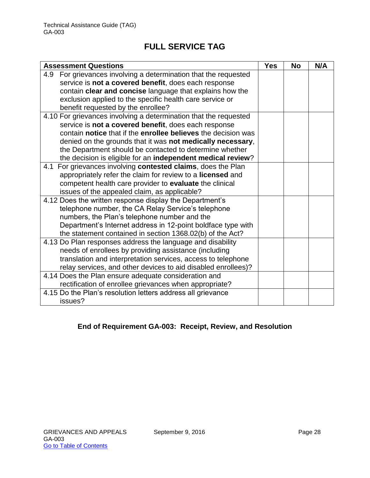| <b>Assessment Questions</b>                                        | <b>Yes</b> | <b>No</b> | N/A |
|--------------------------------------------------------------------|------------|-----------|-----|
| For grievances involving a determination that the requested<br>4.9 |            |           |     |
| service is not a covered benefit, does each response               |            |           |     |
| contain clear and concise language that explains how the           |            |           |     |
| exclusion applied to the specific health care service or           |            |           |     |
| benefit requested by the enrollee?                                 |            |           |     |
| 4.10 For grievances involving a determination that the requested   |            |           |     |
| service is not a covered benefit, does each response               |            |           |     |
| contain notice that if the enrollee believes the decision was      |            |           |     |
| denied on the grounds that it was not medically necessary,         |            |           |     |
| the Department should be contacted to determine whether            |            |           |     |
| the decision is eligible for an independent medical review?        |            |           |     |
| For grievances involving contested claims, does the Plan<br>4.1    |            |           |     |
| appropriately refer the claim for review to a licensed and         |            |           |     |
| competent health care provider to evaluate the clinical            |            |           |     |
| issues of the appealed claim, as applicable?                       |            |           |     |
| 4.12 Does the written response display the Department's            |            |           |     |
| telephone number, the CA Relay Service's telephone                 |            |           |     |
| numbers, the Plan's telephone number and the                       |            |           |     |
| Department's Internet address in 12-point boldface type with       |            |           |     |
| the statement contained in section 1368.02(b) of the Act?          |            |           |     |
| 4.13 Do Plan responses address the language and disability         |            |           |     |
| needs of enrollees by providing assistance (including              |            |           |     |
| translation and interpretation services, access to telephone       |            |           |     |
| relay services, and other devices to aid disabled enrollees)?      |            |           |     |
| 4.14 Does the Plan ensure adequate consideration and               |            |           |     |
| rectification of enrollee grievances when appropriate?             |            |           |     |
| 4.15 Do the Plan's resolution letters address all grievance        |            |           |     |
| issues?                                                            |            |           |     |

### **End of Requirement GA-003: Receipt, Review, and Resolution**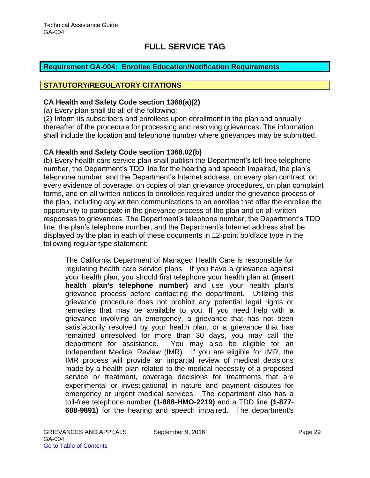### <span id="page-29-0"></span>**Requirement GA-004: Enrollee Education/Notification Requirements**

#### **STATUTORY/REGULATORY CITATIONS**

#### **CA Health and Safety Code section 1368(a)(2)**

(a) Every plan shall do all of the following:

(2) Inform its subscribers and enrollees upon enrollment in the plan and annually thereafter of the procedure for processing and resolving grievances. The information shall include the location and telephone number where grievances may be submitted.

#### **CA Health and Safety Code section 1368.02(b)**

(b) Every health care service plan shall publish the Department's toll-free telephone number, the Department's TDD line for the hearing and speech impaired, the plan's telephone number, and the Department's Internet address, on every plan contract, on every evidence of coverage, on copies of plan grievance procedures, on plan complaint forms, and on all written notices to enrollees required under the grievance process of the plan, including any written communications to an enrollee that offer the enrollee the opportunity to participate in the grievance process of the plan and on all written responses to grievances. The Department's telephone number, the Department's TDD line, the plan's telephone number, and the Department's Internet address shall be displayed by the plan in each of these documents in 12-point boldface type in the following regular type statement:

The California Department of Managed Health Care is responsible for regulating health care service plans. If you have a grievance against your health plan, you should first telephone your health plan at **(insert health plan's telephone number)** and use your health plan's grievance process before contacting the department. Utilizing this grievance procedure does not prohibit any potential legal rights or remedies that may be available to you. If you need help with a grievance involving an emergency, a grievance that has not been satisfactorily resolved by your health plan, or a grievance that has remained unresolved for more than 30 days, you may call the department for assistance. You may also be eligible for an Independent Medical Review (IMR). If you are eligible for IMR, the IMR process will provide an impartial review of medical decisions made by a health plan related to the medical necessity of a proposed service or treatment, coverage decisions for treatments that are experimental or investigational in nature and payment disputes for emergency or urgent medical services. The department also has a toll-free telephone number **(1-888-HMO-2219)** and a TDD line **(1-877- 688-9891)** for the hearing and speech impaired. The department's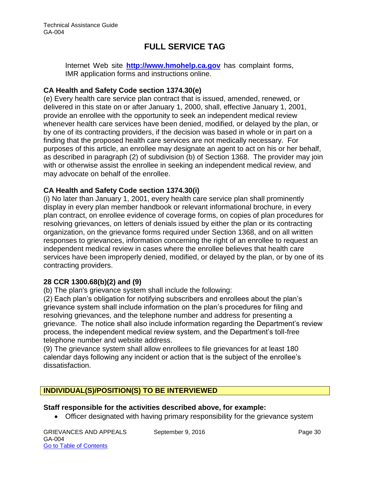Internet Web site **[http://www.hmohelp.ca.gov](http://www.hmohelp.ca.gov/)** has complaint forms, IMR application forms and instructions online.

### **CA Health and Safety Code section 1374.30(e)**

(e) Every health care service plan contract that is issued, amended, renewed, or delivered in this state on or after January 1, 2000, shall, effective January 1, 2001, provide an enrollee with the opportunity to seek an independent medical review whenever health care services have been denied, modified, or delayed by the plan, or by one of its contracting providers, if the decision was based in whole or in part on a finding that the proposed health care services are not medically necessary. For purposes of this article, an enrollee may designate an agent to act on his or her behalf, as described in paragraph (2) of subdivision (b) of Section 1368. The provider may join with or otherwise assist the enrollee in seeking an independent medical review, and may advocate on behalf of the enrollee.

### **CA Health and Safety Code section 1374.30(i)**

(i) No later than January 1, 2001, every health care service plan shall prominently display in every plan member handbook or relevant informational brochure, in every plan contract, on enrollee evidence of coverage forms, on copies of plan procedures for resolving grievances, on letters of denials issued by either the plan or its contracting organization, on the grievance forms required under Section 1368, and on all written responses to grievances, information concerning the right of an enrollee to request an independent medical review in cases where the enrollee believes that health care services have been improperly denied, modified, or delayed by the plan, or by one of its contracting providers.

#### **28 CCR 1300.68(b)(2) and (9)**

(b) The plan's grievance system shall include the following:

(2) Each plan's obligation for notifying subscribers and enrollees about the plan's grievance system shall include information on the plan's procedures for filing and resolving grievances, and the telephone number and address for presenting a grievance. The notice shall also include information regarding the Department's review process, the independent medical review system, and the Department's toll-free telephone number and website address.

(9) The grievance system shall allow enrollees to file grievances for at least 180 calendar days following any incident or action that is the subject of the enrollee's dissatisfaction.

### **INDIVIDUAL(S)/POSITION(S) TO BE INTERVIEWED**

#### **Staff responsible for the activities described above, for example:**

Officer designated with having primary responsibility for the grievance system

GRIEVANCES AND APPEALS September 9, 2016 Page 30 GA-004 Go to Table of Contents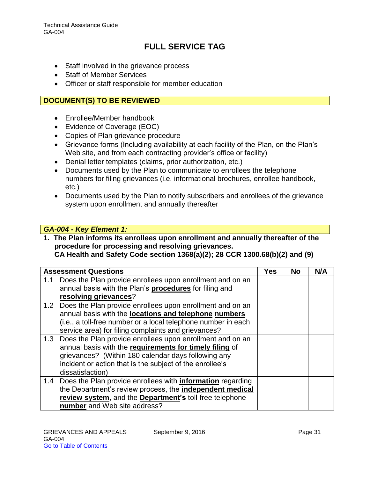- Staff involved in the grievance process
- Staff of Member Services
- Officer or staff responsible for member education

### **DOCUMENT(S) TO BE REVIEWED**

- Enrollee/Member handbook
- Evidence of Coverage (EOC)
- Copies of Plan grievance procedure
- Grievance forms (Including availability at each facility of the Plan, on the Plan's Web site, and from each contracting provider's office or facility)
- Denial letter templates (claims, prior authorization, etc.)
- Documents used by the Plan to communicate to enrollees the telephone numbers for filing grievances (i.e. informational brochures, enrollee handbook, etc.)
- Documents used by the Plan to notify subscribers and enrollees of the grievance system upon enrollment and annually thereafter

#### *GA-004 - Key Element 1:*

**1. The Plan informs its enrollees upon enrollment and annually thereafter of the procedure for processing and resolving grievances. CA Health and Safety Code section 1368(a)(2); 28 CCR 1300.68(b)(2) and (9)**

|     | <b>Assessment Questions</b>                                           | <b>Yes</b> | No | N/A |
|-----|-----------------------------------------------------------------------|------------|----|-----|
| 1.1 | Does the Plan provide enrollees upon enrollment and on an             |            |    |     |
|     | annual basis with the Plan's procedures for filing and                |            |    |     |
|     | resolving grievances?                                                 |            |    |     |
|     | 1.2 Does the Plan provide enrollees upon enrollment and on an         |            |    |     |
|     | annual basis with the locations and telephone numbers                 |            |    |     |
|     | (i.e., a toll-free number or a local telephone number in each         |            |    |     |
|     | service area) for filing complaints and grievances?                   |            |    |     |
|     | 1.3 Does the Plan provide enrollees upon enrollment and on an         |            |    |     |
|     | annual basis with the requirements for timely filing of               |            |    |     |
|     | grievances? (Within 180 calendar days following any                   |            |    |     |
|     | incident or action that is the subject of the enrollee's              |            |    |     |
|     | dissatisfaction)                                                      |            |    |     |
|     | 1.4 Does the Plan provide enrollees with <b>information</b> regarding |            |    |     |
|     | the Department's review process, the independent medical              |            |    |     |
|     | review system, and the Department's toll-free telephone               |            |    |     |
|     | number and Web site address?                                          |            |    |     |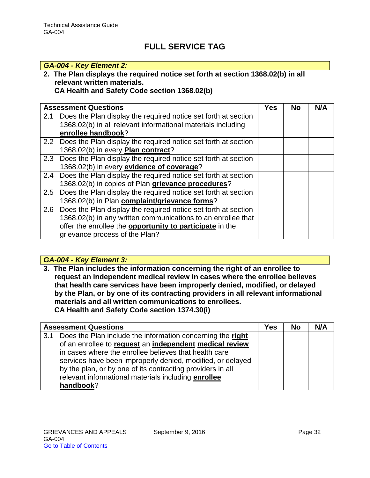### *GA-004 - Key Element 2:*

### **2. The Plan displays the required notice set forth at section 1368.02(b) in all relevant written materials.**

### **CA Health and Safety Code section 1368.02(b)**

|     | <b>Assessment Questions</b>                                        | <b>Yes</b> | <b>No</b> | N/A |
|-----|--------------------------------------------------------------------|------------|-----------|-----|
| 2.1 | Does the Plan display the required notice set forth at section     |            |           |     |
|     | 1368.02(b) in all relevant informational materials including       |            |           |     |
|     | enrollee handbook?                                                 |            |           |     |
|     | 2.2 Does the Plan display the required notice set forth at section |            |           |     |
|     | 1368.02(b) in every Plan contract?                                 |            |           |     |
|     | 2.3 Does the Plan display the required notice set forth at section |            |           |     |
|     | 1368.02(b) in every evidence of coverage?                          |            |           |     |
|     | 2.4 Does the Plan display the required notice set forth at section |            |           |     |
|     | 1368.02(b) in copies of Plan grievance procedures?                 |            |           |     |
|     | 2.5 Does the Plan display the required notice set forth at section |            |           |     |
|     | 1368.02(b) in Plan complaint/grievance forms?                      |            |           |     |
| 2.6 | Does the Plan display the required notice set forth at section     |            |           |     |
|     | 1368.02(b) in any written communications to an enrollee that       |            |           |     |
|     | offer the enrollee the <b>opportunity to participate</b> in the    |            |           |     |
|     | grievance process of the Plan?                                     |            |           |     |

### *GA-004 - Key Element 3:*

**3. The Plan includes the information concerning the right of an enrollee to request an independent medical review in cases where the enrollee believes that health care services have been improperly denied, modified, or delayed by the Plan, or by one of its contracting providers in all relevant informational materials and all written communications to enrollees. CA Health and Safety Code section 1374.30(i)**

|     | <b>Assessment Questions</b>                                | Yes | <b>No</b> | N/A |
|-----|------------------------------------------------------------|-----|-----------|-----|
| 3.1 | Does the Plan include the information concerning the right |     |           |     |
|     | of an enrollee to request an independent medical review    |     |           |     |
|     | in cases where the enrollee believes that health care      |     |           |     |
|     | services have been improperly denied, modified, or delayed |     |           |     |
|     | by the plan, or by one of its contracting providers in all |     |           |     |
|     | relevant informational materials including enrollee        |     |           |     |
|     | handbook?                                                  |     |           |     |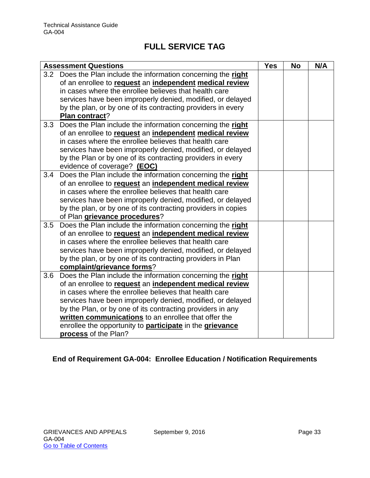|     | <b>Assessment Questions</b>                                     | <b>Yes</b> | <b>No</b> | N/A |
|-----|-----------------------------------------------------------------|------------|-----------|-----|
|     | 3.2 Does the Plan include the information concerning the right  |            |           |     |
|     | of an enrollee to request an independent medical review         |            |           |     |
|     | in cases where the enrollee believes that health care           |            |           |     |
|     | services have been improperly denied, modified, or delayed      |            |           |     |
|     | by the plan, or by one of its contracting providers in every    |            |           |     |
|     | Plan contract?                                                  |            |           |     |
| 3.3 | Does the Plan include the information concerning the right      |            |           |     |
|     | of an enrollee to request an independent medical review         |            |           |     |
|     | in cases where the enrollee believes that health care           |            |           |     |
|     | services have been improperly denied, modified, or delayed      |            |           |     |
|     | by the Plan or by one of its contracting providers in every     |            |           |     |
|     | evidence of coverage? (EOC)                                     |            |           |     |
| 3.4 | Does the Plan include the information concerning the right      |            |           |     |
|     | of an enrollee to request an independent medical review         |            |           |     |
|     | in cases where the enrollee believes that health care           |            |           |     |
|     | services have been improperly denied, modified, or delayed      |            |           |     |
|     | by the plan, or by one of its contracting providers in copies   |            |           |     |
|     | of Plan grievance procedures?                                   |            |           |     |
| 3.5 | Does the Plan include the information concerning the right      |            |           |     |
|     | of an enrollee to request an independent medical review         |            |           |     |
|     | in cases where the enrollee believes that health care           |            |           |     |
|     | services have been improperly denied, modified, or delayed      |            |           |     |
|     | by the plan, or by one of its contracting providers in Plan     |            |           |     |
|     | complaint/grievance forms?                                      |            |           |     |
| 3.6 | Does the Plan include the information concerning the right      |            |           |     |
|     | of an enrollee to request an independent medical review         |            |           |     |
|     | in cases where the enrollee believes that health care           |            |           |     |
|     | services have been improperly denied, modified, or delayed      |            |           |     |
|     | by the Plan, or by one of its contracting providers in any      |            |           |     |
|     | written communications to an enrollee that offer the            |            |           |     |
|     | enrollee the opportunity to <b>participate</b> in the grievance |            |           |     |
|     | process of the Plan?                                            |            |           |     |

### **End of Requirement GA-004: Enrollee Education / Notification Requirements**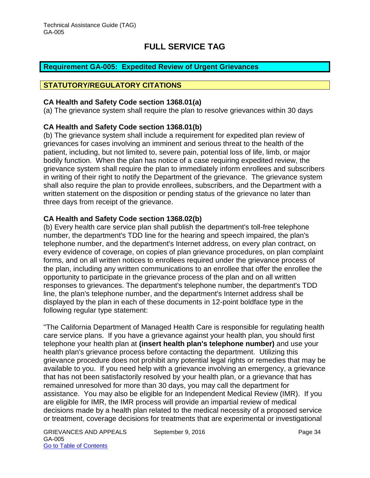### <span id="page-34-0"></span>**Requirement GA-005: Expedited Review of Urgent Grievances**

#### **STATUTORY/REGULATORY CITATIONS**

#### **CA Health and Safety Code section 1368.01(a)**

(a) The grievance system shall require the plan to resolve grievances within 30 days

### **CA Health and Safety Code section 1368.01(b)**

(b) The grievance system shall include a requirement for expedited plan review of grievances for cases involving an imminent and serious threat to the health of the patient, including, but not limited to, severe pain, potential loss of life, limb, or major bodily function. When the plan has notice of a case requiring expedited review, the grievance system shall require the plan to immediately inform enrollees and subscribers in writing of their right to notify the Department of the grievance. The grievance system shall also require the plan to provide enrollees, subscribers, and the Department with a written statement on the disposition or pending status of the grievance no later than three days from receipt of the grievance.

#### **CA Health and Safety Code section 1368.02(b)**

(b) Every health care service plan shall publish the department's toll-free telephone number, the department's TDD line for the hearing and speech impaired, the plan's telephone number, and the department's Internet address, on every plan contract, on every evidence of coverage, on copies of plan grievance procedures, on plan complaint forms, and on all written notices to enrollees required under the grievance process of the plan, including any written communications to an enrollee that offer the enrollee the opportunity to participate in the grievance process of the plan and on all written responses to grievances. The department's telephone number, the department's TDD line, the plan's telephone number, and the department's Internet address shall be displayed by the plan in each of these documents in 12-point boldface type in the following regular type statement:

"The California Department of Managed Health Care is responsible for regulating health care service plans. If you have a grievance against your health plan, you should first telephone your health plan at **(insert health plan's telephone number)** and use your health plan's grievance process before contacting the department. Utilizing this grievance procedure does not prohibit any potential legal rights or remedies that may be available to you. If you need help with a grievance involving an emergency, a grievance that has not been satisfactorily resolved by your health plan, or a grievance that has remained unresolved for more than 30 days, you may call the department for assistance. You may also be eligible for an Independent Medical Review (IMR). If you are eligible for IMR, the IMR process will provide an impartial review of medical decisions made by a health plan related to the medical necessity of a proposed service or treatment, coverage decisions for treatments that are experimental or investigational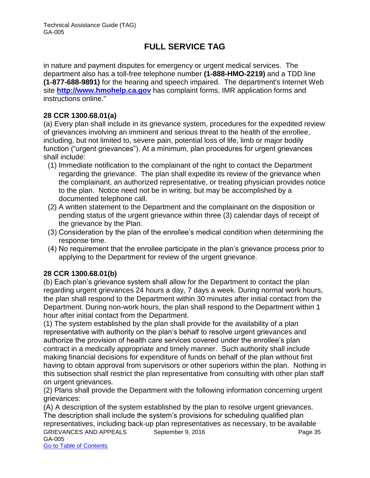in nature and payment disputes for emergency or urgent medical services. The department also has a toll-free telephone number **(1-888-HMO-2219)** and a TDD line **(1-877-688-9891)** for the hearing and speech impaired. The department's Internet Web site **[http://www.hmohelp.ca.gov](http://www.hmohelp.ca.gov/)** has complaint forms, IMR application forms and instructions online."

### **28 CCR 1300.68.01(a)**

(a) Every plan shall include in its grievance system, procedures for the expedited review of grievances involving an imminent and serious threat to the health of the enrollee, including, but not limited to, severe pain, potential loss of life, limb or major bodily function ("urgent grievances"). At a minimum, plan procedures for urgent grievances shall include:

- (1) Immediate notification to the complainant of the right to contact the Department regarding the grievance. The plan shall expedite its review of the grievance when the complainant, an authorized representative, or treating physician provides notice to the plan. Notice need not be in writing, but may be accomplished by a documented telephone call.
- (2) A written statement to the Department and the complainant on the disposition or pending status of the urgent grievance within three (3) calendar days of receipt of the grievance by the Plan.
- (3) Consideration by the plan of the enrollee's medical condition when determining the response time.
- (4) No requirement that the enrollee participate in the plan's grievance process prior to applying to the Department for review of the urgent grievance.

### **28 CCR 1300.68.01(b)**

(b) Each plan's grievance system shall allow for the Department to contact the plan regarding urgent grievances 24 hours a day, 7 days a week. During normal work hours, the plan shall respond to the Department within 30 minutes after initial contact from the Department. During non-work hours, the plan shall respond to the Department within 1 hour after initial contact from the Department.

(1) The system established by the plan shall provide for the availability of a plan representative with authority on the plan's behalf to resolve urgent grievances and authorize the provision of health care services covered under the enrollee's plan contract in a medically appropriate and timely manner. Such authority shall include making financial decisions for expenditure of funds on behalf of the plan without first having to obtain approval from supervisors or other superiors within the plan. Nothing in this subsection shall restrict the plan representative from consulting with other plan staff on urgent grievances.

(2) Plans shall provide the Department with the following information concerning urgent grievances:

GRIEVANCES AND APPEALS September 9, 2016 Page 35 GA-005 Go to Table of Contents (A) A description of the system established by the plan to resolve urgent grievances. The description shall include the system's provisions for scheduling qualified plan representatives, including back-up plan representatives as necessary, to be available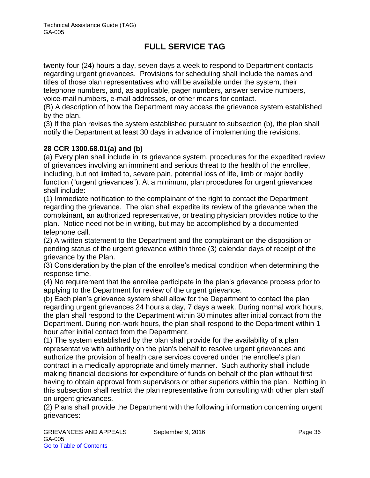twenty-four (24) hours a day, seven days a week to respond to Department contacts regarding urgent grievances. Provisions for scheduling shall include the names and titles of those plan representatives who will be available under the system, their telephone numbers, and, as applicable, pager numbers, answer service numbers, voice-mail numbers, e-mail addresses, or other means for contact.

(B) A description of how the Department may access the grievance system established by the plan.

(3) If the plan revises the system established pursuant to subsection (b), the plan shall notify the Department at least 30 days in advance of implementing the revisions.

### **28 CCR 1300.68.01(a) and (b)**

(a) Every plan shall include in its grievance system, procedures for the expedited review of grievances involving an imminent and serious threat to the health of the enrollee, including, but not limited to, severe pain, potential loss of life, limb or major bodily function ("urgent grievances"). At a minimum, plan procedures for urgent grievances shall include:

(1) Immediate notification to the complainant of the right to contact the Department regarding the grievance. The plan shall expedite its review of the grievance when the complainant, an authorized representative, or treating physician provides notice to the plan. Notice need not be in writing, but may be accomplished by a documented telephone call.

(2) A written statement to the Department and the complainant on the disposition or pending status of the urgent grievance within three (3) calendar days of receipt of the grievance by the Plan.

(3) Consideration by the plan of the enrollee's medical condition when determining the response time.

(4) No requirement that the enrollee participate in the plan's grievance process prior to applying to the Department for review of the urgent grievance.

(b) Each plan's grievance system shall allow for the Department to contact the plan regarding urgent grievances 24 hours a day, 7 days a week. During normal work hours, the plan shall respond to the Department within 30 minutes after initial contact from the Department. During non-work hours, the plan shall respond to the Department within 1 hour after initial contact from the Department.

(1) The system established by the plan shall provide for the availability of a plan representative with authority on the plan's behalf to resolve urgent grievances and authorize the provision of health care services covered under the enrollee's plan contract in a medically appropriate and timely manner. Such authority shall include making financial decisions for expenditure of funds on behalf of the plan without first having to obtain approval from supervisors or other superiors within the plan. Nothing in this subsection shall restrict the plan representative from consulting with other plan staff on urgent grievances.

(2) Plans shall provide the Department with the following information concerning urgent grievances: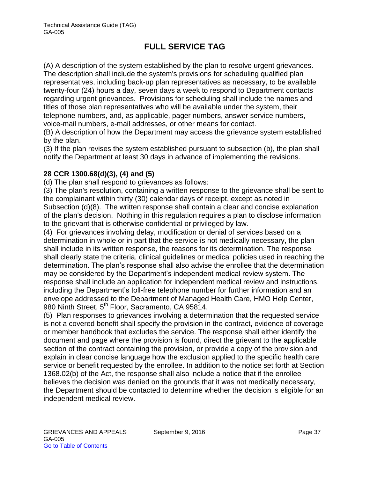(A) A description of the system established by the plan to resolve urgent grievances. The description shall include the system's provisions for scheduling qualified plan representatives, including back-up plan representatives as necessary, to be available twenty-four (24) hours a day, seven days a week to respond to Department contacts regarding urgent grievances. Provisions for scheduling shall include the names and titles of those plan representatives who will be available under the system, their telephone numbers, and, as applicable, pager numbers, answer service numbers, voice-mail numbers, e-mail addresses, or other means for contact.

(B) A description of how the Department may access the grievance system established by the plan.

(3) If the plan revises the system established pursuant to subsection (b), the plan shall notify the Department at least 30 days in advance of implementing the revisions.

### **28 CCR 1300.68(d)(3), (4) and (5)**

(d) The plan shall respond to grievances as follows:

(3) The plan's resolution, containing a written response to the grievance shall be sent to the complainant within thirty (30) calendar days of receipt, except as noted in Subsection (d)(8). The written response shall contain a clear and concise explanation of the plan's decision. Nothing in this regulation requires a plan to disclose information to the grievant that is otherwise confidential or privileged by law.

(4) For grievances involving delay, modification or denial of services based on a determination in whole or in part that the service is not medically necessary, the plan shall include in its written response, the reasons for its determination. The response shall clearly state the criteria, clinical guidelines or medical policies used in reaching the determination. The plan's response shall also advise the enrollee that the determination may be considered by the Department's independent medical review system. The response shall include an application for independent medical review and instructions, including the Department's toll-free telephone number for further information and an envelope addressed to the Department of Managed Health Care, HMO Help Center, 980 Ninth Street, 5<sup>th</sup> Floor, Sacramento, CA 95814.

(5) Plan responses to grievances involving a determination that the requested service is not a covered benefit shall specify the provision in the contract, evidence of coverage or member handbook that excludes the service. The response shall either identify the document and page where the provision is found, direct the grievant to the applicable section of the contract containing the provision, or provide a copy of the provision and explain in clear concise language how the exclusion applied to the specific health care service or benefit requested by the enrollee. In addition to the notice set forth at Section 1368.02(b) of the Act, the response shall also include a notice that if the enrollee believes the decision was denied on the grounds that it was not medically necessary, the Department should be contacted to determine whether the decision is eligible for an independent medical review.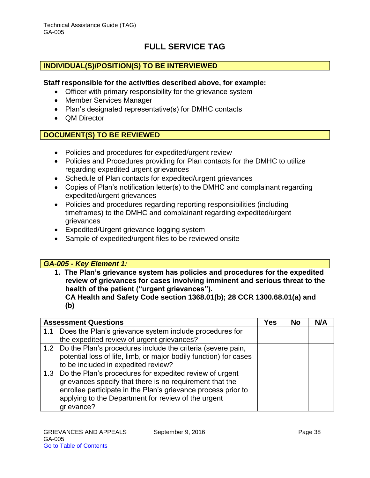### **INDIVIDUAL(S)/POSITION(S) TO BE INTERVIEWED**

#### **Staff responsible for the activities described above, for example:**

- Officer with primary responsibility for the grievance system
- Member Services Manager
- Plan's designated representative(s) for DMHC contacts
- OM Director

#### **DOCUMENT(S) TO BE REVIEWED**

- Policies and procedures for expedited/urgent review
- Policies and Procedures providing for Plan contacts for the DMHC to utilize regarding expedited urgent grievances
- Schedule of Plan contacts for expedited/urgent grievances
- Copies of Plan's notification letter(s) to the DMHC and complainant regarding expedited/urgent grievances
- Policies and procedures regarding reporting responsibilities (including timeframes) to the DMHC and complainant regarding expedited/urgent grievances
- Expedited/Urgent grievance logging system
- Sample of expedited/urgent files to be reviewed onsite

#### *GA-005 - Key Element 1:*

- **1. The Plan's grievance system has policies and procedures for the expedited review of grievances for cases involving imminent and serious threat to the health of the patient ("urgent grievances"). CA Health and Safety Code section 1368.01(b); 28 CCR 1300.68.01(a) and** 
	- **(b)**

| <b>Assessment Questions</b>                |                                                                   | Yes | <b>No</b> | N/A |
|--------------------------------------------|-------------------------------------------------------------------|-----|-----------|-----|
| 1.1                                        | Does the Plan's grievance system include procedures for           |     |           |     |
| the expedited review of urgent grievances? |                                                                   |     |           |     |
|                                            | 1.2 Do the Plan's procedures include the criteria (severe pain,   |     |           |     |
|                                            | potential loss of life, limb, or major bodily function) for cases |     |           |     |
| to be included in expedited review?        |                                                                   |     |           |     |
|                                            | 1.3 Do the Plan's procedures for expedited review of urgent       |     |           |     |
|                                            | grievances specify that there is no requirement that the          |     |           |     |
|                                            | enrollee participate in the Plan's grievance process prior to     |     |           |     |
|                                            | applying to the Department for review of the urgent               |     |           |     |
| grievance?                                 |                                                                   |     |           |     |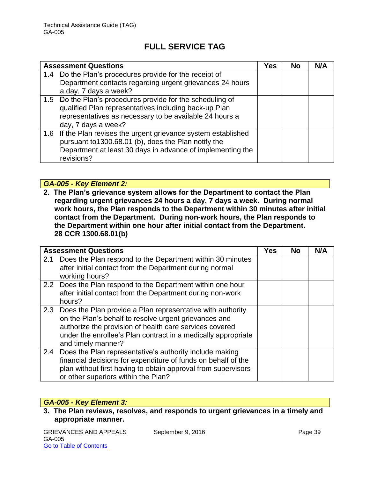| <b>Assessment Questions</b>                                     |  | No | N/A |
|-----------------------------------------------------------------|--|----|-----|
| 1.4 Do the Plan's procedures provide for the receipt of         |  |    |     |
| Department contacts regarding urgent grievances 24 hours        |  |    |     |
| a day, 7 days a week?                                           |  |    |     |
| 1.5 Do the Plan's procedures provide for the scheduling of      |  |    |     |
| qualified Plan representatives including back-up Plan           |  |    |     |
| representatives as necessary to be available 24 hours a         |  |    |     |
| day, 7 days a week?                                             |  |    |     |
| 1.6 If the Plan revises the urgent grievance system established |  |    |     |
| pursuant to1300.68.01 (b), does the Plan notify the             |  |    |     |
| Department at least 30 days in advance of implementing the      |  |    |     |
| revisions?                                                      |  |    |     |

### *GA-005 - Key Element 2:*

**2. The Plan's grievance system allows for the Department to contact the Plan regarding urgent grievances 24 hours a day, 7 days a week. During normal work hours, the Plan responds to the Department within 30 minutes after initial contact from the Department. During non-work hours, the Plan responds to the Department within one hour after initial contact from the Department. 28 CCR 1300.68.01(b)**

|               | <b>Assessment Questions</b>                                    | Yes | <b>No</b> | N/A |
|---------------|----------------------------------------------------------------|-----|-----------|-----|
| 2.1           | Does the Plan respond to the Department within 30 minutes      |     |           |     |
|               | after initial contact from the Department during normal        |     |           |     |
|               | working hours?                                                 |     |           |     |
|               | 2.2 Does the Plan respond to the Department within one hour    |     |           |     |
|               | after initial contact from the Department during non-work      |     |           |     |
|               | hours?                                                         |     |           |     |
|               | 2.3 Does the Plan provide a Plan representative with authority |     |           |     |
|               | on the Plan's behalf to resolve urgent grievances and          |     |           |     |
|               | authorize the provision of health care services covered        |     |           |     |
|               | under the enrollee's Plan contract in a medically appropriate  |     |           |     |
|               | and timely manner?                                             |     |           |     |
| $2.4^{\circ}$ | Does the Plan representative's authority include making        |     |           |     |
|               | financial decisions for expenditure of funds on behalf of the  |     |           |     |
|               | plan without first having to obtain approval from supervisors  |     |           |     |
|               | or other superiors within the Plan?                            |     |           |     |

### *GA-005 - Key Element 3:*

**3. The Plan reviews, resolves, and responds to urgent grievances in a timely and appropriate manner.**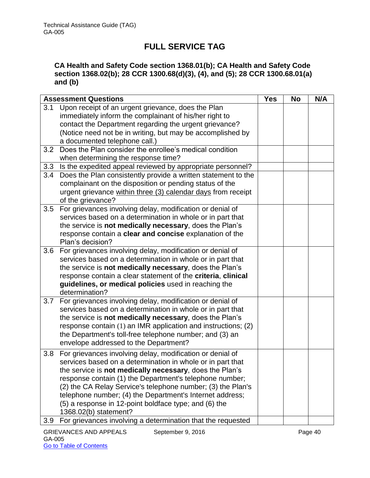### **CA Health and Safety Code section 1368.01(b); CA Health and Safety Code section 1368.02(b); 28 CCR 1300.68(d)(3), (4), and (5); 28 CCR 1300.68.01(a) and (b)**

|     | <b>Assessment Questions</b>                                   | <b>Yes</b> | <b>No</b> | N/A |
|-----|---------------------------------------------------------------|------------|-----------|-----|
| 3.1 | Upon receipt of an urgent grievance, does the Plan            |            |           |     |
|     | immediately inform the complainant of his/her right to        |            |           |     |
|     | contact the Department regarding the urgent grievance?        |            |           |     |
|     | (Notice need not be in writing, but may be accomplished by    |            |           |     |
|     | a documented telephone call.)                                 |            |           |     |
| 3.2 | Does the Plan consider the enrollee's medical condition       |            |           |     |
|     | when determining the response time?                           |            |           |     |
| 3.3 | Is the expedited appeal reviewed by appropriate personnel?    |            |           |     |
| 3.4 | Does the Plan consistently provide a written statement to the |            |           |     |
|     | complainant on the disposition or pending status of the       |            |           |     |
|     | urgent grievance within three (3) calendar days from receipt  |            |           |     |
|     | of the grievance?                                             |            |           |     |
| 3.5 | For grievances involving delay, modification or denial of     |            |           |     |
|     | services based on a determination in whole or in part that    |            |           |     |
|     | the service is not medically necessary, does the Plan's       |            |           |     |
|     | response contain a clear and concise explanation of the       |            |           |     |
|     | Plan's decision?                                              |            |           |     |
| 3.6 | For grievances involving delay, modification or denial of     |            |           |     |
|     | services based on a determination in whole or in part that    |            |           |     |
|     | the service is not medically necessary, does the Plan's       |            |           |     |
|     | response contain a clear statement of the criteria, clinical  |            |           |     |
|     | guidelines, or medical policies used in reaching the          |            |           |     |
|     | determination?                                                |            |           |     |
| 3.7 | For grievances involving delay, modification or denial of     |            |           |     |
|     | services based on a determination in whole or in part that    |            |           |     |
|     | the service is not medically necessary, does the Plan's       |            |           |     |
|     | response contain (1) an IMR application and instructions; (2) |            |           |     |
|     | the Department's toll-free telephone number; and (3) an       |            |           |     |
|     | envelope addressed to the Department?                         |            |           |     |
| 3.8 | For grievances involving delay, modification or denial of     |            |           |     |
|     | services based on a determination in whole or in part that    |            |           |     |
|     | the service is not medically necessary, does the Plan's       |            |           |     |
|     | response contain (1) the Department's telephone number;       |            |           |     |
|     | (2) the CA Relay Service's telephone number; (3) the Plan's   |            |           |     |
|     | telephone number; (4) the Department's Internet address;      |            |           |     |
|     | (5) a response in 12-point boldface type; and (6) the         |            |           |     |
|     | 1368.02(b) statement?                                         |            |           |     |
| 3.9 | For grievances involving a determination that the requested   |            |           |     |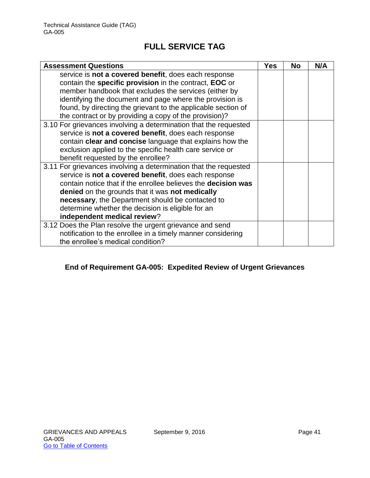| <b>Assessment Questions</b>                                          | <b>Yes</b> | <b>No</b> | N/A |
|----------------------------------------------------------------------|------------|-----------|-----|
| service is not a covered benefit, does each response                 |            |           |     |
| contain the specific provision in the contract, EOC or               |            |           |     |
| member handbook that excludes the services (either by                |            |           |     |
| identifying the document and page where the provision is             |            |           |     |
| found, by directing the grievant to the applicable section of        |            |           |     |
| the contract or by providing a copy of the provision)?               |            |           |     |
| 3.10 For grievances involving a determination that the requested     |            |           |     |
| service is not a covered benefit, does each response                 |            |           |     |
| contain clear and concise language that explains how the             |            |           |     |
| exclusion applied to the specific health care service or             |            |           |     |
| benefit requested by the enrollee?                                   |            |           |     |
| 3.11 For grievances involving a determination that the requested     |            |           |     |
| service is not a covered benefit, does each response                 |            |           |     |
| contain notice that if the enrollee believes the <b>decision was</b> |            |           |     |
| denied on the grounds that it was not medically                      |            |           |     |
| necessary, the Department should be contacted to                     |            |           |     |
| determine whether the decision is eligible for an                    |            |           |     |
| independent medical review?                                          |            |           |     |
| 3.12 Does the Plan resolve the urgent grievance and send             |            |           |     |
| notification to the enrollee in a timely manner considering          |            |           |     |
| the enrollee's medical condition?                                    |            |           |     |

### **End of Requirement GA-005: Expedited Review of Urgent Grievances**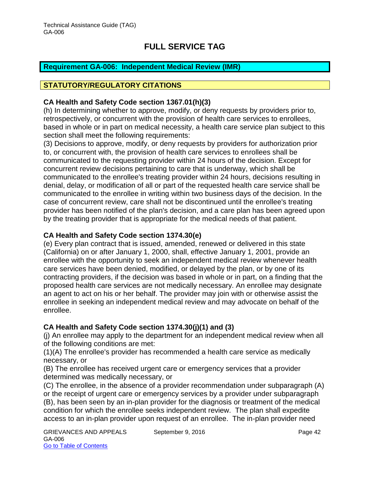### <span id="page-42-0"></span>**Requirement GA-006: Independent Medical Review (IMR)**

### **STATUTORY/REGULATORY CITATIONS**

### **CA Health and Safety Code section 1367.01(h)(3)**

(h) In determining whether to approve, modify, or deny requests by providers prior to, retrospectively, or concurrent with the provision of health care services to enrollees, based in whole or in part on medical necessity, a health care service plan subject to this section shall meet the following requirements:

(3) Decisions to approve, modify, or deny requests by providers for authorization prior to, or concurrent with, the provision of health care services to enrollees shall be communicated to the requesting provider within 24 hours of the decision. Except for concurrent review decisions pertaining to care that is underway, which shall be communicated to the enrollee's treating provider within 24 hours, decisions resulting in denial, delay, or modification of all or part of the requested health care service shall be communicated to the enrollee in writing within two business days of the decision. In the case of concurrent review, care shall not be discontinued until the enrollee's treating provider has been notified of the plan's decision, and a care plan has been agreed upon by the treating provider that is appropriate for the medical needs of that patient.

#### **CA Health and Safety Code section 1374.30(e)**

(e) Every plan contract that is issued, amended, renewed or delivered in this state (California) on or after January 1, 2000, shall, effective January 1, 2001, provide an enrollee with the opportunity to seek an independent medical review whenever health care services have been denied, modified, or delayed by the plan, or by one of its contracting providers, if the decision was based in whole or in part, on a finding that the proposed health care services are not medically necessary. An enrollee may designate an agent to act on his or her behalf. The provider may join with or otherwise assist the enrollee in seeking an independent medical review and may advocate on behalf of the enrollee.

#### **CA Health and Safety Code section 1374.30(j)(1) and (3)**

(j) An enrollee may apply to the department for an independent medical review when all of the following conditions are met:

(1)(A) The enrollee's provider has recommended a health care service as medically necessary, or

(B) The enrollee has received urgent care or emergency services that a provider determined was medically necessary, or

(C) The enrollee, in the absence of a provider recommendation under subparagraph (A) or the receipt of urgent care or emergency services by a provider under subparagraph (B), has been seen by an in-plan provider for the diagnosis or treatment of the medical condition for which the enrollee seeks independent review. The plan shall expedite access to an in-plan provider upon request of an enrollee. The in-plan provider need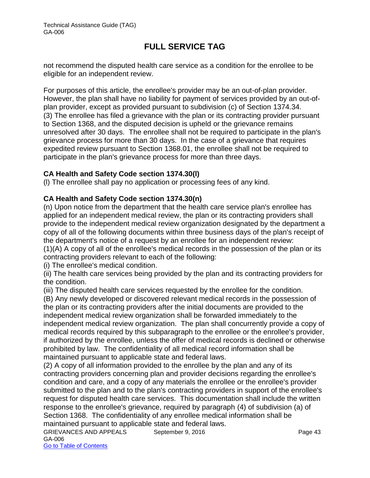not recommend the disputed health care service as a condition for the enrollee to be eligible for an independent review.

For purposes of this article, the enrollee's provider may be an out-of-plan provider. However, the plan shall have no liability for payment of services provided by an out-ofplan provider, except as provided pursuant to subdivision (c) of Section 1374.34. (3) The enrollee has filed a grievance with the plan or its contracting provider pursuant to Section 1368, and the disputed decision is upheld or the grievance remains unresolved after 30 days. The enrollee shall not be required to participate in the plan's grievance process for more than 30 days. In the case of a grievance that requires expedited review pursuant to Section 1368.01, the enrollee shall not be required to participate in the plan's grievance process for more than three days.

### **CA Health and Safety Code section 1374.30(l)**

(l) The enrollee shall pay no application or processing fees of any kind.

### **CA Health and Safety Code section 1374.30(n)**

(n) Upon notice from the department that the health care service plan's enrollee has applied for an independent medical review, the plan or its contracting providers shall provide to the independent medical review organization designated by the department a copy of all of the following documents within three business days of the plan's receipt of the department's notice of a request by an enrollee for an independent review: (1)(A) A copy of all of the enrollee's medical records in the possession of the plan or its contracting providers relevant to each of the following:

(i) The enrollee's medical condition.

(ii) The health care services being provided by the plan and its contracting providers for the condition.

(iii) The disputed health care services requested by the enrollee for the condition.

(B) Any newly developed or discovered relevant medical records in the possession of the plan or its contracting providers after the initial documents are provided to the independent medical review organization shall be forwarded immediately to the independent medical review organization. The plan shall concurrently provide a copy of medical records required by this subparagraph to the enrollee or the enrollee's provider, if authorized by the enrollee, unless the offer of medical records is declined or otherwise prohibited by law. The confidentiality of all medical record information shall be maintained pursuant to applicable state and federal laws.

(2) A copy of all information provided to the enrollee by the plan and any of its contracting providers concerning plan and provider decisions regarding the enrollee's condition and care, and a copy of any materials the enrollee or the enrollee's provider submitted to the plan and to the plan's contracting providers in support of the enrollee's request for disputed health care services. This documentation shall include the written response to the enrollee's grievance, required by paragraph (4) of subdivision (a) of Section 1368. The confidentiality of any enrollee medical information shall be maintained pursuant to applicable state and federal laws.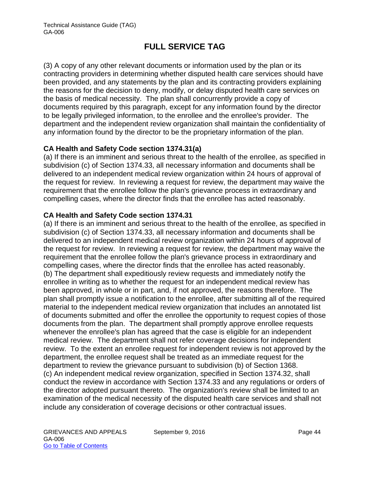(3) A copy of any other relevant documents or information used by the plan or its contracting providers in determining whether disputed health care services should have been provided, and any statements by the plan and its contracting providers explaining the reasons for the decision to deny, modify, or delay disputed health care services on the basis of medical necessity. The plan shall concurrently provide a copy of documents required by this paragraph, except for any information found by the director to be legally privileged information, to the enrollee and the enrollee's provider. The department and the independent review organization shall maintain the confidentiality of any information found by the director to be the proprietary information of the plan.

### **CA Health and Safety Code section 1374.31(a)**

(a) If there is an imminent and serious threat to the health of the enrollee, as specified in subdivision (c) of Section 1374.33, all necessary information and documents shall be delivered to an independent medical review organization within 24 hours of approval of the request for review. In reviewing a request for review, the department may waive the requirement that the enrollee follow the plan's grievance process in extraordinary and compelling cases, where the director finds that the enrollee has acted reasonably.

### **CA Health and Safety Code section 1374.31**

(a) If there is an imminent and serious threat to the health of the enrollee, as specified in subdivision (c) of Section 1374.33, all necessary information and documents shall be delivered to an independent medical review organization within 24 hours of approval of the request for review. In reviewing a request for review, the department may waive the requirement that the enrollee follow the plan's grievance process in extraordinary and compelling cases, where the director finds that the enrollee has acted reasonably. (b) The department shall expeditiously review requests and immediately notify the enrollee in writing as to whether the request for an independent medical review has been approved, in whole or in part, and, if not approved, the reasons therefore. The plan shall promptly issue a notification to the enrollee, after submitting all of the required material to the independent medical review organization that includes an annotated list of documents submitted and offer the enrollee the opportunity to request copies of those documents from the plan. The department shall promptly approve enrollee requests whenever the enrollee's plan has agreed that the case is eligible for an independent medical review. The department shall not refer coverage decisions for independent review. To the extent an enrollee request for independent review is not approved by the department, the enrollee request shall be treated as an immediate request for the department to review the grievance pursuant to subdivision (b) of Section 1368. (c) An independent medical review organization, specified in Section 1374.32, shall conduct the review in accordance with Section 1374.33 and any regulations or orders of the director adopted pursuant thereto. The organization's review shall be limited to an examination of the medical necessity of the disputed health care services and shall not include any consideration of coverage decisions or other contractual issues.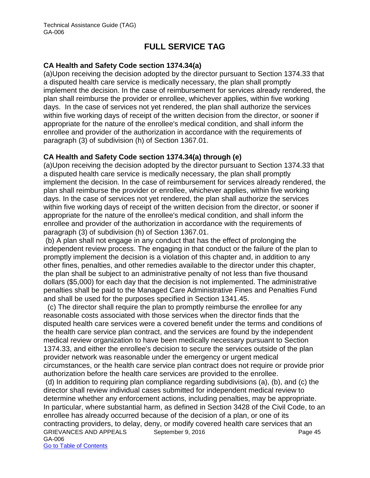#### **CA Health and Safety Code section 1374.34(a)**

(a)Upon receiving the decision adopted by the director pursuant to Section 1374.33 that a disputed health care service is medically necessary, the plan shall promptly implement the decision. In the case of reimbursement for services already rendered, the plan shall reimburse the provider or enrollee, whichever applies, within five working days. In the case of services not yet rendered, the plan shall authorize the services within five working days of receipt of the written decision from the director, or sooner if appropriate for the nature of the enrollee's medical condition, and shall inform the enrollee and provider of the authorization in accordance with the requirements of paragraph (3) of subdivision (h) of Section 1367.01.

#### **CA Health and Safety Code section 1374.34(a) through (e)**

(a)Upon receiving the decision adopted by the director pursuant to Section 1374.33 that a disputed health care service is medically necessary, the plan shall promptly implement the decision. In the case of reimbursement for services already rendered, the plan shall reimburse the provider or enrollee, whichever applies, within five working days. In the case of services not yet rendered, the plan shall authorize the services within five working days of receipt of the written decision from the director, or sooner if appropriate for the nature of the enrollee's medical condition, and shall inform the enrollee and provider of the authorization in accordance with the requirements of paragraph (3) of subdivision (h) of Section 1367.01.

 (b) A plan shall not engage in any conduct that has the effect of prolonging the independent review process. The engaging in that conduct or the failure of the plan to promptly implement the decision is a violation of this chapter and, in addition to any other fines, penalties, and other remedies available to the director under this chapter, the plan shall be subject to an administrative penalty of not less than five thousand dollars (\$5,000) for each day that the decision is not implemented. The administrative penalties shall be paid to the Managed Care Administrative Fines and Penalties Fund and shall be used for the purposes specified in Section 1341.45.

 (c) The director shall require the plan to promptly reimburse the enrollee for any reasonable costs associated with those services when the director finds that the disputed health care services were a covered benefit under the terms and conditions of the health care service plan contract, and the services are found by the independent medical review organization to have been medically necessary pursuant to Section 1374.33, and either the enrollee's decision to secure the services outside of the plan provider network was reasonable under the emergency or urgent medical circumstances, or the health care service plan contract does not require or provide prior authorization before the health care services are provided to the enrollee.

GRIEVANCES AND APPEALS September 9, 2016 GA-006 Go to Table of Contents (d) In addition to requiring plan compliance regarding subdivisions (a), (b), and (c) the director shall review individual cases submitted for independent medical review to determine whether any enforcement actions, including penalties, may be appropriate. In particular, where substantial harm, as defined in Section 3428 of the Civil Code, to an enrollee has already occurred because of the decision of a plan, or one of its contracting providers, to delay, deny, or modify covered health care services that an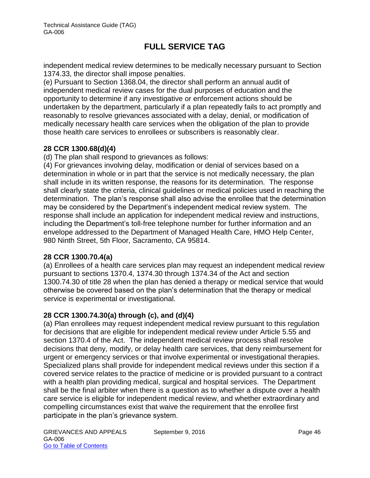independent medical review determines to be medically necessary pursuant to Section 1374.33, the director shall impose penalties.

(e) Pursuant to Section 1368.04, the director shall perform an annual audit of independent medical review cases for the dual purposes of education and the opportunity to determine if any investigative or enforcement actions should be undertaken by the department, particularly if a plan repeatedly fails to act promptly and reasonably to resolve grievances associated with a delay, denial, or modification of medically necessary health care services when the obligation of the plan to provide those health care services to enrollees or subscribers is reasonably clear.

### **28 CCR 1300.68(d)(4)**

(d) The plan shall respond to grievances as follows:

(4) For grievances involving delay, modification or denial of services based on a determination in whole or in part that the service is not medically necessary, the plan shall include in its written response, the reasons for its determination. The response shall clearly state the criteria, clinical guidelines or medical policies used in reaching the determination. The plan's response shall also advise the enrollee that the determination may be considered by the Department's independent medical review system. The response shall include an application for independent medical review and instructions, including the Department's toll-free telephone number for further information and an envelope addressed to the Department of Managed Health Care, HMO Help Center, 980 Ninth Street, 5th Floor, Sacramento, CA 95814.

#### **28 CCR 1300.70.4(a)**

(a) Enrollees of a health care services plan may request an independent medical review pursuant to sections 1370.4, 1374.30 through 1374.34 of the Act and section 1300.74.30 of title 28 when the plan has denied a therapy or medical service that would otherwise be covered based on the plan's determination that the therapy or medical service is experimental or investigational.

### **28 CCR 1300.74.30(a) through (c), and (d)(4)**

(a) Plan enrollees may request independent medical review pursuant to this regulation for decisions that are eligible for independent medical review under Article 5.55 and section 1370.4 of the Act. The independent medical review process shall resolve decisions that deny, modify, or delay health care services, that deny reimbursement for urgent or emergency services or that involve experimental or investigational therapies. Specialized plans shall provide for independent medical reviews under this section if a covered service relates to the practice of medicine or is provided pursuant to a contract with a health plan providing medical, surgical and hospital services. The Department shall be the final arbiter when there is a question as to whether a dispute over a health care service is eligible for independent medical review, and whether extraordinary and compelling circumstances exist that waive the requirement that the enrollee first participate in the plan's grievance system.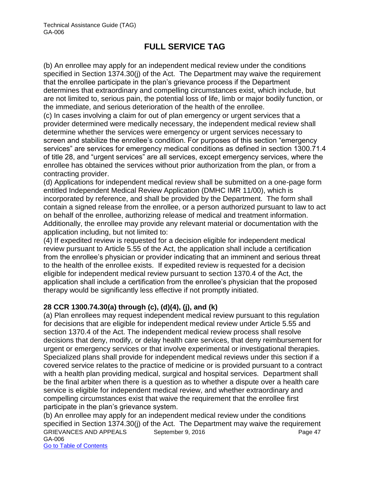(b) An enrollee may apply for an independent medical review under the conditions specified in Section 1374.30(j) of the Act. The Department may waive the requirement that the enrollee participate in the plan's grievance process if the Department determines that extraordinary and compelling circumstances exist, which include, but are not limited to, serious pain, the potential loss of life, limb or major bodily function, or the immediate, and serious deterioration of the health of the enrollee.

(c) In cases involving a claim for out of plan emergency or urgent services that a provider determined were medically necessary, the independent medical review shall determine whether the services were emergency or urgent services necessary to screen and stabilize the enrollee's condition. For purposes of this section "emergency services" are services for emergency medical conditions as defined in section 1300.71.4 of title 28, and "urgent services" are all services, except emergency services, where the enrollee has obtained the services without prior authorization from the plan, or from a contracting provider.

(d) Applications for independent medical review shall be submitted on a one-page form entitled Independent Medical Review Application (DMHC IMR 11/00), which is incorporated by reference, and shall be provided by the Department. The form shall contain a signed release from the enrollee, or a person authorized pursuant to law to act on behalf of the enrollee, authorizing release of medical and treatment information. Additionally, the enrollee may provide any relevant material or documentation with the application including, but not limited to:

(4) If expedited review is requested for a decision eligible for independent medical review pursuant to Article 5.55 of the Act, the application shall include a certification from the enrollee's physician or provider indicating that an imminent and serious threat to the health of the enrollee exists. If expedited review is requested for a decision eligible for independent medical review pursuant to section 1370.4 of the Act, the application shall include a certification from the enrollee's physician that the proposed therapy would be significantly less effective if not promptly initiated.

#### **28 CCR 1300.74.30(a) through (c), (d)(4), (j), and (k)**

(a) Plan enrollees may request independent medical review pursuant to this regulation for decisions that are eligible for independent medical review under Article 5.55 and section 1370.4 of the Act. The independent medical review process shall resolve decisions that deny, modify, or delay health care services, that deny reimbursement for urgent or emergency services or that involve experimental or investigational therapies. Specialized plans shall provide for independent medical reviews under this section if a covered service relates to the practice of medicine or is provided pursuant to a contract with a health plan providing medical, surgical and hospital services. Department shall be the final arbiter when there is a question as to whether a dispute over a health care service is eligible for independent medical review, and whether extraordinary and compelling circumstances exist that waive the requirement that the enrollee first participate in the plan's grievance system.

GRIEVANCES AND APPEALS September 9, 2016 Page 47 GA-006 Go to Table of Contents (b) An enrollee may apply for an independent medical review under the conditions specified in Section 1374.30(j) of the Act. The Department may waive the requirement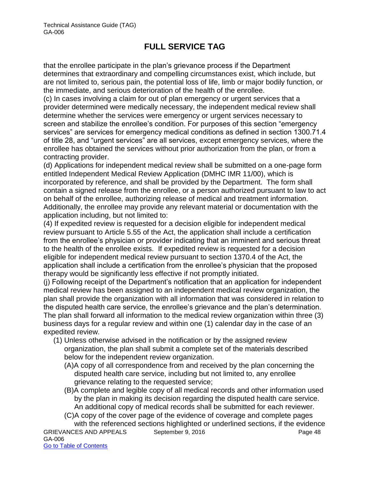that the enrollee participate in the plan's grievance process if the Department determines that extraordinary and compelling circumstances exist, which include, but are not limited to, serious pain, the potential loss of life, limb or major bodily function, or the immediate, and serious deterioration of the health of the enrollee.

(c) In cases involving a claim for out of plan emergency or urgent services that a provider determined were medically necessary, the independent medical review shall determine whether the services were emergency or urgent services necessary to screen and stabilize the enrollee's condition. For purposes of this section "emergency services" are services for emergency medical conditions as defined in section 1300.71.4 of title 28, and "urgent services" are all services, except emergency services, where the enrollee has obtained the services without prior authorization from the plan, or from a contracting provider.

(d) Applications for independent medical review shall be submitted on a one-page form entitled Independent Medical Review Application (DMHC IMR 11/00), which is incorporated by reference, and shall be provided by the Department. The form shall contain a signed release from the enrollee, or a person authorized pursuant to law to act on behalf of the enrollee, authorizing release of medical and treatment information. Additionally, the enrollee may provide any relevant material or documentation with the application including, but not limited to:

(4) If expedited review is requested for a decision eligible for independent medical review pursuant to Article 5.55 of the Act, the application shall include a certification from the enrollee's physician or provider indicating that an imminent and serious threat to the health of the enrollee exists. If expedited review is requested for a decision eligible for independent medical review pursuant to section 1370.4 of the Act, the application shall include a certification from the enrollee's physician that the proposed therapy would be significantly less effective if not promptly initiated.

(j) Following receipt of the Department's notification that an application for independent medical review has been assigned to an independent medical review organization, the plan shall provide the organization with all information that was considered in relation to the disputed health care service, the enrollee's grievance and the plan's determination. The plan shall forward all information to the medical review organization within three (3) business days for a regular review and within one (1) calendar day in the case of an expedited review.

- (1) Unless otherwise advised in the notification or by the assigned review organization, the plan shall submit a complete set of the materials described below for the independent review organization.
	- (A)A copy of all correspondence from and received by the plan concerning the disputed health care service, including but not limited to, any enrollee grievance relating to the requested service;
	- (B)A complete and legible copy of all medical records and other information used by the plan in making its decision regarding the disputed health care service. An additional copy of medical records shall be submitted for each reviewer.
	- (C)A copy of the cover page of the evidence of coverage and complete pages with the referenced sections highlighted or underlined sections, if the evidence

GRIEVANCES AND APPEALS September 9, 2016 Page 48 GA-006 Go to Table of Contents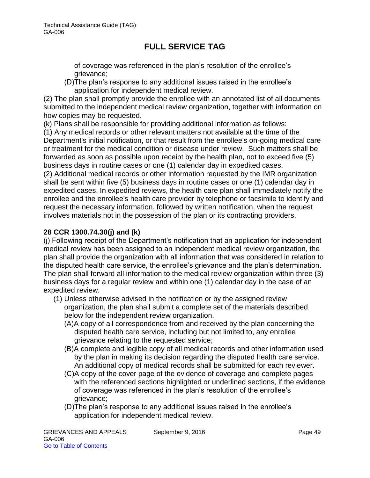of coverage was referenced in the plan's resolution of the enrollee's grievance;

(D)The plan's response to any additional issues raised in the enrollee's application for independent medical review.

(2) The plan shall promptly provide the enrollee with an annotated list of all documents submitted to the independent medical review organization, together with information on how copies may be requested.

(k) Plans shall be responsible for providing additional information as follows:

(1) Any medical records or other relevant matters not available at the time of the Department's initial notification, or that result from the enrollee's on-going medical care or treatment for the medical condition or disease under review. Such matters shall be forwarded as soon as possible upon receipt by the health plan, not to exceed five (5) business days in routine cases or one (1) calendar day in expedited cases.

(2) Additional medical records or other information requested by the IMR organization shall be sent within five (5) business days in routine cases or one (1) calendar day in expedited cases. In expedited reviews, the health care plan shall immediately notify the enrollee and the enrollee's health care provider by telephone or facsimile to identify and request the necessary information, followed by written notification, when the request involves materials not in the possession of the plan or its contracting providers.

### **28 CCR 1300.74.30(j) and (k)**

(j) Following receipt of the Department's notification that an application for independent medical review has been assigned to an independent medical review organization, the plan shall provide the organization with all information that was considered in relation to the disputed health care service, the enrollee's grievance and the plan's determination. The plan shall forward all information to the medical review organization within three (3) business days for a regular review and within one (1) calendar day in the case of an expedited review.

- (1) Unless otherwise advised in the notification or by the assigned review organization, the plan shall submit a complete set of the materials described below for the independent review organization.
	- (A)A copy of all correspondence from and received by the plan concerning the disputed health care service, including but not limited to, any enrollee grievance relating to the requested service;
	- (B)A complete and legible copy of all medical records and other information used by the plan in making its decision regarding the disputed health care service. An additional copy of medical records shall be submitted for each reviewer.
	- (C)A copy of the cover page of the evidence of coverage and complete pages with the referenced sections highlighted or underlined sections, if the evidence of coverage was referenced in the plan's resolution of the enrollee's grievance;
	- (D)The plan's response to any additional issues raised in the enrollee's application for independent medical review.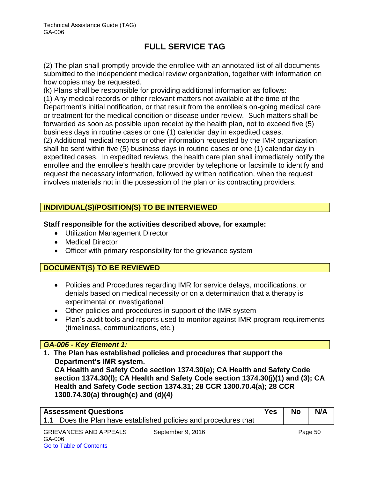(2) The plan shall promptly provide the enrollee with an annotated list of all documents submitted to the independent medical review organization, together with information on how copies may be requested.

(k) Plans shall be responsible for providing additional information as follows:

(1) Any medical records or other relevant matters not available at the time of the Department's initial notification, or that result from the enrollee's on-going medical care or treatment for the medical condition or disease under review. Such matters shall be forwarded as soon as possible upon receipt by the health plan, not to exceed five (5) business days in routine cases or one (1) calendar day in expedited cases.

(2) Additional medical records or other information requested by the IMR organization shall be sent within five (5) business days in routine cases or one (1) calendar day in expedited cases. In expedited reviews, the health care plan shall immediately notify the enrollee and the enrollee's health care provider by telephone or facsimile to identify and request the necessary information, followed by written notification, when the request involves materials not in the possession of the plan or its contracting providers.

### **INDIVIDUAL(S)/POSITION(S) TO BE INTERVIEWED**

#### **Staff responsible for the activities described above, for example:**

- Utilization Management Director
- Medical Director
- Officer with primary responsibility for the grievance system

### **DOCUMENT(S) TO BE REVIEWED**

- Policies and Procedures regarding IMR for service delays, modifications, or denials based on medical necessity or on a determination that a therapy is experimental or investigational
- Other policies and procedures in support of the IMR system
- Plan's audit tools and reports used to monitor against IMR program requirements (timeliness, communications, etc.)

### *GA-006 - Key Element 1:*

**1. The Plan has established policies and procedures that support the Department's IMR system. CA Health and Safety Code section 1374.30(e); CA Health and Safety Code section 1374.30(l); CA Health and Safety Code section 1374.30(j)(1) and (3); CA** 

**Health and Safety Code section 1374.31; 28 CCR 1300.70.4(a); 28 CCR 1300.74.30(a) through(c) and (d)(4)** 

| <b>Assessment Questions</b>                                       | Yes | No | N/A |
|-------------------------------------------------------------------|-----|----|-----|
| 1.1 Does the Plan have established policies and procedures that I |     |    |     |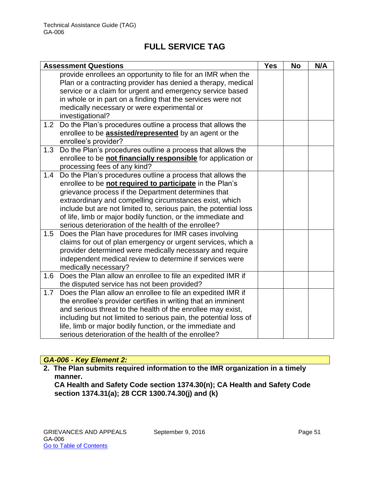|     | <b>Assessment Questions</b>                                      | <b>Yes</b> | <b>No</b> | N/A |
|-----|------------------------------------------------------------------|------------|-----------|-----|
|     | provide enrollees an opportunity to file for an IMR when the     |            |           |     |
|     | Plan or a contracting provider has denied a therapy, medical     |            |           |     |
|     | service or a claim for urgent and emergency service based        |            |           |     |
|     | in whole or in part on a finding that the services were not      |            |           |     |
|     | medically necessary or were experimental or                      |            |           |     |
|     | investigational?                                                 |            |           |     |
| 1.2 | Do the Plan's procedures outline a process that allows the       |            |           |     |
|     | enrollee to be <b>assisted/represented</b> by an agent or the    |            |           |     |
|     | enrollee's provider?                                             |            |           |     |
| 1.3 | Do the Plan's procedures outline a process that allows the       |            |           |     |
|     | enrollee to be not financially responsible for application or    |            |           |     |
|     | processing fees of any kind?                                     |            |           |     |
| 1.4 | Do the Plan's procedures outline a process that allows the       |            |           |     |
|     | enrollee to be not required to participate in the Plan's         |            |           |     |
|     | grievance process if the Department determines that              |            |           |     |
|     | extraordinary and compelling circumstances exist, which          |            |           |     |
|     | include but are not limited to, serious pain, the potential loss |            |           |     |
|     | of life, limb or major bodily function, or the immediate and     |            |           |     |
|     | serious deterioration of the health of the enrollee?             |            |           |     |
| 1.5 | Does the Plan have procedures for IMR cases involving            |            |           |     |
|     | claims for out of plan emergency or urgent services, which a     |            |           |     |
|     | provider determined were medically necessary and require         |            |           |     |
|     | independent medical review to determine if services were         |            |           |     |
|     | medically necessary?                                             |            |           |     |
| 1.6 | Does the Plan allow an enrollee to file an expedited IMR if      |            |           |     |
|     | the disputed service has not been provided?                      |            |           |     |
| 1.7 | Does the Plan allow an enrollee to file an expedited IMR if      |            |           |     |
|     | the enrollee's provider certifies in writing that an imminent    |            |           |     |
|     | and serious threat to the health of the enrollee may exist,      |            |           |     |
|     | including but not limited to serious pain, the potential loss of |            |           |     |
|     | life, limb or major bodily function, or the immediate and        |            |           |     |
|     | serious deterioration of the health of the enrollee?             |            |           |     |

### *GA-006 - Key Element 2:*

**2. The Plan submits required information to the IMR organization in a timely manner.** 

**CA Health and Safety Code section 1374.30(n); CA Health and Safety Code section 1374.31(a); 28 CCR 1300.74.30(j) and (k)**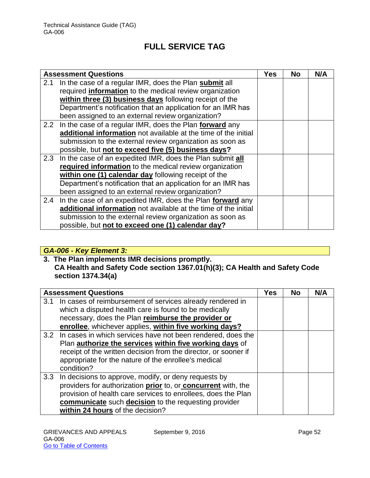|     | <b>Assessment Questions</b>                                     | Yes | <b>No</b> | N/A |
|-----|-----------------------------------------------------------------|-----|-----------|-----|
| 2.1 | In the case of a regular IMR, does the Plan submit all          |     |           |     |
|     | required information to the medical review organization         |     |           |     |
|     | within three (3) business days following receipt of the         |     |           |     |
|     | Department's notification that an application for an IMR has    |     |           |     |
|     | been assigned to an external review organization?               |     |           |     |
| 2.2 | In the case of a regular IMR, does the Plan forward any         |     |           |     |
|     | additional information not available at the time of the initial |     |           |     |
|     | submission to the external review organization as soon as       |     |           |     |
|     | possible, but not to exceed five (5) business days?             |     |           |     |
| 2.3 | In the case of an expedited IMR, does the Plan submit all       |     |           |     |
|     | required information to the medical review organization         |     |           |     |
|     | within one (1) calendar day following receipt of the            |     |           |     |
|     | Department's notification that an application for an IMR has    |     |           |     |
|     | been assigned to an external review organization?               |     |           |     |
| 2.4 | In the case of an expedited IMR, does the Plan forward any      |     |           |     |
|     | additional information not available at the time of the initial |     |           |     |
|     | submission to the external review organization as soon as       |     |           |     |
|     | possible, but not to exceed one (1) calendar day?               |     |           |     |

### *GA-006 - Key Element 3:*

**3. The Plan implements IMR decisions promptly. CA Health and Safety Code section 1367.01(h)(3); CA Health and Safety Code section 1374.34(a)** 

| <b>Assessment Questions</b>                                                                                                                                                                                                                                                               |  | <b>No</b> | N/A |
|-------------------------------------------------------------------------------------------------------------------------------------------------------------------------------------------------------------------------------------------------------------------------------------------|--|-----------|-----|
| In cases of reimbursement of services already rendered in<br>3.1<br>which a disputed health care is found to be medically<br>necessary, does the Plan reimburse the provider or<br>enrollee, whichever applies, within five working days?                                                 |  |           |     |
| 3.2 In cases in which services have not been rendered, does the<br>Plan authorize the services within five working days of<br>receipt of the written decision from the director, or sooner if<br>appropriate for the nature of the enrollee's medical<br>condition?                       |  |           |     |
| 3.3<br>In decisions to approve, modify, or deny requests by<br>providers for authorization prior to, or concurrent with, the<br>provision of health care services to enrollees, does the Plan<br>communicate such decision to the requesting provider<br>within 24 hours of the decision? |  |           |     |